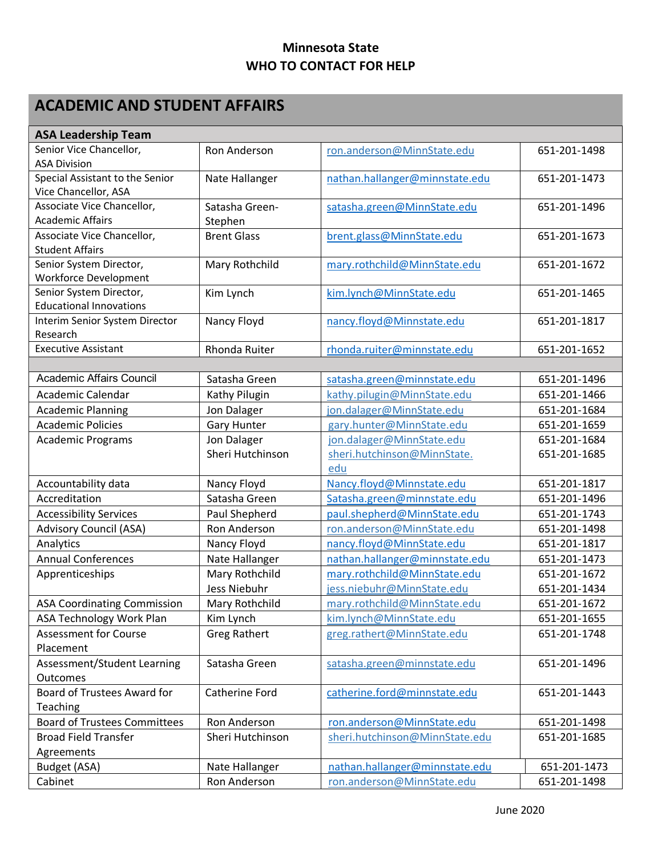## **Minnesota State WHO TO CONTACT FOR HELP**

## **ACADEMIC AND STUDENT AFFAIRS**

| <b>ASA Leadership Team</b>          |                      |                                |              |  |
|-------------------------------------|----------------------|--------------------------------|--------------|--|
| Senior Vice Chancellor,             | Ron Anderson         | ron.anderson@MinnState.edu     | 651-201-1498 |  |
| <b>ASA Division</b>                 |                      |                                |              |  |
| Special Assistant to the Senior     | Nate Hallanger       | nathan.hallanger@minnstate.edu | 651-201-1473 |  |
| Vice Chancellor, ASA                |                      |                                |              |  |
| Associate Vice Chancellor,          | Satasha Green-       | satasha.green@MinnState.edu    | 651-201-1496 |  |
| <b>Academic Affairs</b>             | Stephen              |                                |              |  |
| Associate Vice Chancellor,          | <b>Brent Glass</b>   | brent.glass@MinnState.edu      | 651-201-1673 |  |
| <b>Student Affairs</b>              |                      |                                |              |  |
| Senior System Director,             | Mary Rothchild       | mary.rothchild@MinnState.edu   | 651-201-1672 |  |
| Workforce Development               |                      |                                |              |  |
| Senior System Director,             | Kim Lynch            | kim.lynch@MinnState.edu        | 651-201-1465 |  |
| <b>Educational Innovations</b>      |                      |                                |              |  |
| Interim Senior System Director      | Nancy Floyd          | nancy.floyd@Minnstate.edu      | 651-201-1817 |  |
| Research                            |                      |                                |              |  |
| <b>Executive Assistant</b>          | <b>Rhonda Ruiter</b> | rhonda.ruiter@minnstate.edu    | 651-201-1652 |  |
|                                     |                      |                                |              |  |
| Academic Affairs Council            | Satasha Green        | satasha.green@minnstate.edu    | 651-201-1496 |  |
| Academic Calendar                   | Kathy Pilugin        | kathy.pilugin@MinnState.edu    | 651-201-1466 |  |
| <b>Academic Planning</b>            | Jon Dalager          | jon.dalager@MinnState.edu      | 651-201-1684 |  |
| <b>Academic Policies</b>            | <b>Gary Hunter</b>   | gary.hunter@MinnState.edu      | 651-201-1659 |  |
| <b>Academic Programs</b>            | Jon Dalager          | jon.dalager@MinnState.edu      | 651-201-1684 |  |
|                                     | Sheri Hutchinson     | sheri.hutchinson@MinnState.    | 651-201-1685 |  |
|                                     |                      | edu                            |              |  |
| Accountability data                 | Nancy Floyd          | Nancy.floyd@Minnstate.edu      | 651-201-1817 |  |
| Accreditation                       | Satasha Green        | Satasha.green@minnstate.edu    | 651-201-1496 |  |
| <b>Accessibility Services</b>       | Paul Shepherd        | paul.shepherd@MinnState.edu    | 651-201-1743 |  |
| <b>Advisory Council (ASA)</b>       | Ron Anderson         | ron.anderson@MinnState.edu     | 651-201-1498 |  |
| Analytics                           | Nancy Floyd          | nancy.floyd@MinnState.edu      | 651-201-1817 |  |
| <b>Annual Conferences</b>           | Nate Hallanger       | nathan.hallanger@minnstate.edu | 651-201-1473 |  |
| Apprenticeships                     | Mary Rothchild       | mary.rothchild@MinnState.edu   | 651-201-1672 |  |
|                                     | Jess Niebuhr         | jess.niebuhr@MinnState.edu     | 651-201-1434 |  |
| <b>ASA Coordinating Commission</b>  | Mary Rothchild       | mary.rothchild@MinnState.edu   | 651-201-1672 |  |
| ASA Technology Work Plan            | Kim Lynch            | kim.lynch@MinnState.edu        | 651-201-1655 |  |
| <b>Assessment for Course</b>        | <b>Greg Rathert</b>  | greg.rathert@MinnState.edu     | 651-201-1748 |  |
| Placement                           |                      |                                |              |  |
| Assessment/Student Learning         | Satasha Green        | satasha.green@minnstate.edu    | 651-201-1496 |  |
| Outcomes                            |                      |                                |              |  |
| Board of Trustees Award for         | Catherine Ford       | catherine.ford@minnstate.edu   | 651-201-1443 |  |
| Teaching                            |                      |                                |              |  |
| <b>Board of Trustees Committees</b> | Ron Anderson         | ron.anderson@MinnState.edu     | 651-201-1498 |  |
| <b>Broad Field Transfer</b>         | Sheri Hutchinson     | sheri.hutchinson@MinnState.edu | 651-201-1685 |  |
| Agreements                          |                      |                                |              |  |
| Budget (ASA)                        | Nate Hallanger       | nathan.hallanger@minnstate.edu | 651-201-1473 |  |
| Cabinet                             | Ron Anderson         | ron.anderson@MinnState.edu     | 651-201-1498 |  |
|                                     |                      |                                |              |  |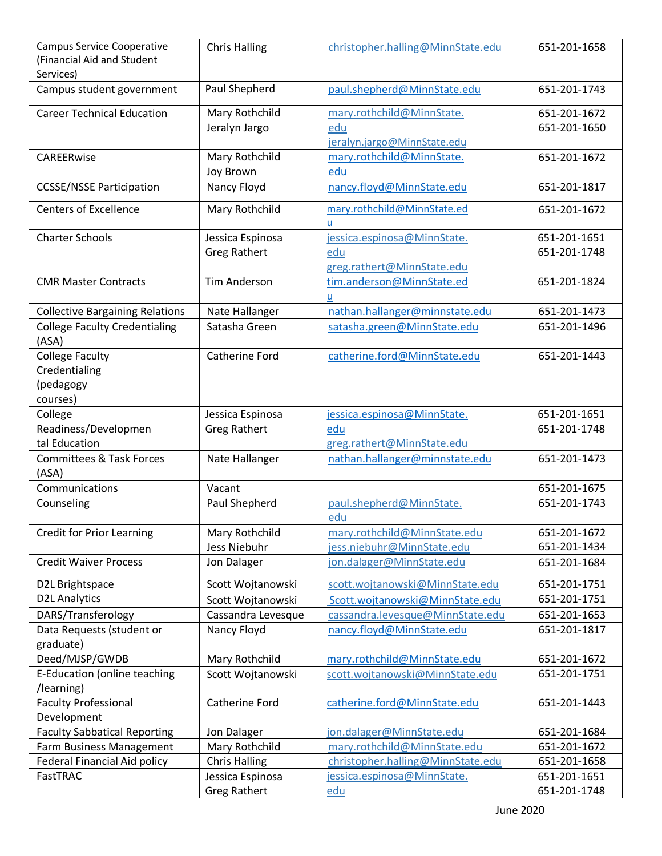| Campus Service Cooperative<br>(Financial Aid and Student<br>Services) | <b>Chris Halling</b>                    | christopher.halling@MinnState.edu                                | 651-201-1658                 |
|-----------------------------------------------------------------------|-----------------------------------------|------------------------------------------------------------------|------------------------------|
| Campus student government                                             | Paul Shepherd                           | paul.shepherd@MinnState.edu                                      | 651-201-1743                 |
| <b>Career Technical Education</b>                                     | Mary Rothchild<br>Jeralyn Jargo         | mary.rothchild@MinnState.<br>edu<br>jeralyn.jargo@MinnState.edu  | 651-201-1672<br>651-201-1650 |
| CAREERwise                                                            | Mary Rothchild<br>Joy Brown             | mary.rothchild@MinnState.<br>edu                                 | 651-201-1672                 |
| <b>CCSSE/NSSE Participation</b>                                       | Nancy Floyd                             | nancy.floyd@MinnState.edu                                        | 651-201-1817                 |
| <b>Centers of Excellence</b>                                          | Mary Rothchild                          | mary.rothchild@MinnState.ed<br>u                                 | 651-201-1672                 |
| <b>Charter Schools</b>                                                | Jessica Espinosa<br><b>Greg Rathert</b> | jessica.espinosa@MinnState.<br>edu<br>greg.rathert@MinnState.edu | 651-201-1651<br>651-201-1748 |
| <b>CMR Master Contracts</b>                                           | <b>Tim Anderson</b>                     | tim.anderson@MinnState.ed<br>u                                   | 651-201-1824                 |
| <b>Collective Bargaining Relations</b>                                | Nate Hallanger                          | nathan.hallanger@minnstate.edu                                   | 651-201-1473                 |
| <b>College Faculty Credentialing</b><br>(ASA)                         | Satasha Green                           | satasha.green@MinnState.edu                                      | 651-201-1496                 |
| <b>College Faculty</b><br>Credentialing<br>(pedagogy<br>courses)      | Catherine Ford                          | catherine.ford@MinnState.edu                                     | 651-201-1443                 |
| College<br>Readiness/Developmen<br>tal Education                      | Jessica Espinosa<br><b>Greg Rathert</b> | jessica.espinosa@MinnState.<br>edu<br>greg.rathert@MinnState.edu | 651-201-1651<br>651-201-1748 |
| <b>Committees &amp; Task Forces</b><br>(ASA)                          | Nate Hallanger                          | nathan.hallanger@minnstate.edu                                   | 651-201-1473                 |
| Communications                                                        | Vacant                                  |                                                                  | 651-201-1675                 |
| Counseling                                                            | Paul Shepherd                           | paul.shepherd@MinnState.<br>edu                                  | 651-201-1743                 |
| <b>Credit for Prior Learning</b>                                      | Mary Rothchild<br>Jess Niebuhr          | mary.rothchild@MinnState.edu<br>jess.niebuhr@MinnState.edu       | 651-201-1672<br>651-201-1434 |
| <b>Credit Waiver Process</b>                                          | Jon Dalager                             | jon.dalager@MinnState.edu                                        | 651-201-1684                 |
| D2L Brightspace                                                       | Scott Wojtanowski                       | scott.wojtanowski@MinnState.edu                                  | 651-201-1751                 |
| <b>D2L Analytics</b>                                                  | Scott Wojtanowski                       | Scott.wojtanowski@MinnState.edu                                  | 651-201-1751                 |
| DARS/Transferology                                                    | Cassandra Levesque                      | cassandra.levesque@MinnState.edu                                 | 651-201-1653                 |
| Data Requests (student or<br>graduate)                                | Nancy Floyd                             | nancy.floyd@MinnState.edu                                        | 651-201-1817                 |
| Deed/MJSP/GWDB                                                        | Mary Rothchild                          | mary.rothchild@MinnState.edu                                     | 651-201-1672                 |
| E-Education (online teaching<br>/learning)                            | Scott Wojtanowski                       | scott.wojtanowski@MinnState.edu                                  | 651-201-1751                 |
| <b>Faculty Professional</b><br>Development                            | Catherine Ford                          | catherine.ford@MinnState.edu                                     | 651-201-1443                 |
| <b>Faculty Sabbatical Reporting</b>                                   | Jon Dalager                             | jon.dalager@MinnState.edu                                        | 651-201-1684                 |
| Farm Business Management                                              | Mary Rothchild                          | mary.rothchild@MinnState.edu                                     | 651-201-1672                 |
| <b>Federal Financial Aid policy</b>                                   | <b>Chris Halling</b>                    | christopher.halling@MinnState.edu                                | 651-201-1658                 |
| FastTRAC                                                              | Jessica Espinosa                        | jessica.espinosa@MinnState.                                      | 651-201-1651                 |
|                                                                       | <b>Greg Rathert</b>                     | edu                                                              | 651-201-1748                 |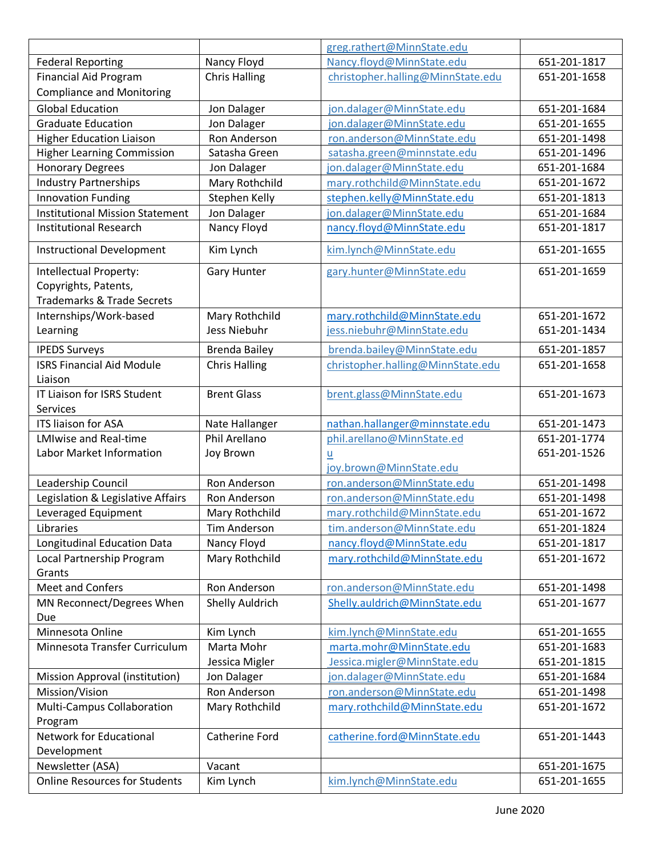|                                        |                       | greg.rathert@MinnState.edu        |              |
|----------------------------------------|-----------------------|-----------------------------------|--------------|
| <b>Federal Reporting</b>               | Nancy Floyd           | Nancy.floyd@MinnState.edu         | 651-201-1817 |
| <b>Financial Aid Program</b>           | <b>Chris Halling</b>  | christopher.halling@MinnState.edu | 651-201-1658 |
| <b>Compliance and Monitoring</b>       |                       |                                   |              |
| <b>Global Education</b>                | Jon Dalager           | jon.dalager@MinnState.edu         | 651-201-1684 |
| <b>Graduate Education</b>              | Jon Dalager           | jon.dalager@MinnState.edu         | 651-201-1655 |
| <b>Higher Education Liaison</b>        | Ron Anderson          | ron.anderson@MinnState.edu        | 651-201-1498 |
| <b>Higher Learning Commission</b>      | Satasha Green         | satasha.green@minnstate.edu       | 651-201-1496 |
| <b>Honorary Degrees</b>                | Jon Dalager           | jon.dalager@MinnState.edu         | 651-201-1684 |
| <b>Industry Partnerships</b>           | Mary Rothchild        | mary.rothchild@MinnState.edu      | 651-201-1672 |
| <b>Innovation Funding</b>              | Stephen Kelly         | stephen.kelly@MinnState.edu       | 651-201-1813 |
| <b>Institutional Mission Statement</b> | Jon Dalager           | jon.dalager@MinnState.edu         | 651-201-1684 |
| <b>Institutional Research</b>          | Nancy Floyd           | nancy.floyd@MinnState.edu         | 651-201-1817 |
| <b>Instructional Development</b>       | Kim Lynch             | kim.lynch@MinnState.edu           | 651-201-1655 |
| Intellectual Property:                 | <b>Gary Hunter</b>    | gary.hunter@MinnState.edu         | 651-201-1659 |
| Copyrights, Patents,                   |                       |                                   |              |
| <b>Trademarks &amp; Trade Secrets</b>  |                       |                                   |              |
| Internships/Work-based                 | Mary Rothchild        | mary.rothchild@MinnState.edu      | 651-201-1672 |
| Learning                               | Jess Niebuhr          | jess.niebuhr@MinnState.edu        | 651-201-1434 |
| <b>IPEDS Surveys</b>                   | <b>Brenda Bailey</b>  | brenda.bailey@MinnState.edu       | 651-201-1857 |
| <b>ISRS Financial Aid Module</b>       | <b>Chris Halling</b>  | christopher.halling@MinnState.edu | 651-201-1658 |
| Liaison                                |                       |                                   |              |
| IT Liaison for ISRS Student            | <b>Brent Glass</b>    | brent.glass@MinnState.edu         | 651-201-1673 |
| Services                               |                       |                                   |              |
| ITS liaison for ASA                    | Nate Hallanger        | nathan.hallanger@minnstate.edu    | 651-201-1473 |
| <b>LMIwise and Real-time</b>           | Phil Arellano         | phil.arellano@MinnState.ed        | 651-201-1774 |
| Labor Market Information               | Joy Brown             | $\underline{\mathsf{u}}$          | 651-201-1526 |
|                                        |                       | joy.brown@MinnState.edu           |              |
| Leadership Council                     | <b>Ron Anderson</b>   | ron.anderson@MinnState.edu        | 651-201-1498 |
| Legislation & Legislative Affairs      | Ron Anderson          | ron.anderson@MinnState.edu        | 651-201-1498 |
| Leveraged Equipment                    | Mary Rothchild        | mary.rothchild@MinnState.edu      | 651-201-1672 |
| Libraries                              | Tim Anderson          | tim.anderson@MinnState.edu        | 651-201-1824 |
| Longitudinal Education Data            | Nancy Floyd           | nancy.floyd@MinnState.edu         | 651-201-1817 |
| Local Partnership Program<br>Grants    | Mary Rothchild        | mary.rothchild@MinnState.edu      | 651-201-1672 |
| <b>Meet and Confers</b>                | Ron Anderson          | ron.anderson@MinnState.edu        | 651-201-1498 |
| MN Reconnect/Degrees When              | Shelly Auldrich       | Shelly.auldrich@MinnState.edu     | 651-201-1677 |
| Due                                    |                       |                                   |              |
| Minnesota Online                       | Kim Lynch             | kim.lynch@MinnState.edu           | 651-201-1655 |
| Minnesota Transfer Curriculum          | Marta Mohr            | marta.mohr@MinnState.edu          | 651-201-1683 |
|                                        | Jessica Migler        | Jessica.migler@MinnState.edu      | 651-201-1815 |
| Mission Approval (institution)         | Jon Dalager           | jon.dalager@MinnState.edu         | 651-201-1684 |
| Mission/Vision                         | Ron Anderson          | ron.anderson@MinnState.edu        | 651-201-1498 |
| Multi-Campus Collaboration<br>Program  | Mary Rothchild        | mary.rothchild@MinnState.edu      | 651-201-1672 |
| Network for Educational<br>Development | <b>Catherine Ford</b> | catherine.ford@MinnState.edu      | 651-201-1443 |
| Newsletter (ASA)                       | Vacant                |                                   | 651-201-1675 |
| <b>Online Resources for Students</b>   | Kim Lynch             | kim.lynch@MinnState.edu           | 651-201-1655 |
|                                        |                       |                                   |              |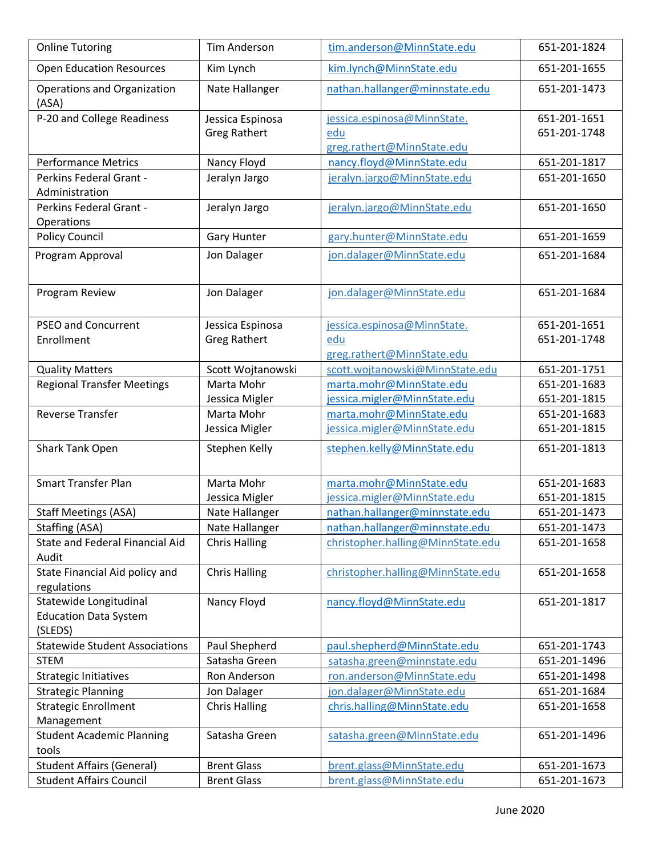| <b>Online Tutoring</b>                          | <b>Tim Anderson</b>  | tim.anderson@MinnState.edu        | 651-201-1824 |
|-------------------------------------------------|----------------------|-----------------------------------|--------------|
| <b>Open Education Resources</b>                 | Kim Lynch            | kim.lynch@MinnState.edu           | 651-201-1655 |
| Operations and Organization<br>(ASA)            | Nate Hallanger       | nathan.hallanger@minnstate.edu    | 651-201-1473 |
| P-20 and College Readiness                      | Jessica Espinosa     | jessica.espinosa@MinnState.       | 651-201-1651 |
|                                                 | <b>Greg Rathert</b>  | edu                               | 651-201-1748 |
|                                                 |                      | greg.rathert@MinnState.edu        |              |
| <b>Performance Metrics</b>                      | Nancy Floyd          | nancy.floyd@MinnState.edu         | 651-201-1817 |
| Perkins Federal Grant -<br>Administration       | Jeralyn Jargo        | jeralyn.jargo@MinnState.edu       | 651-201-1650 |
| Perkins Federal Grant -<br>Operations           | Jeralyn Jargo        | jeralyn.jargo@MinnState.edu       | 651-201-1650 |
| <b>Policy Council</b>                           | <b>Gary Hunter</b>   | gary.hunter@MinnState.edu         | 651-201-1659 |
| Program Approval                                | Jon Dalager          | jon.dalager@MinnState.edu         | 651-201-1684 |
|                                                 |                      |                                   |              |
| Program Review                                  | Jon Dalager          | jon.dalager@MinnState.edu         | 651-201-1684 |
| <b>PSEO and Concurrent</b>                      | Jessica Espinosa     | jessica.espinosa@MinnState.       | 651-201-1651 |
| Enrollment                                      | <b>Greg Rathert</b>  | edu                               | 651-201-1748 |
|                                                 |                      | greg.rathert@MinnState.edu        |              |
| <b>Quality Matters</b>                          | Scott Wojtanowski    | scott.wojtanowski@MinnState.edu   | 651-201-1751 |
| <b>Regional Transfer Meetings</b>               | Marta Mohr           | marta.mohr@MinnState.edu          | 651-201-1683 |
|                                                 | Jessica Migler       | jessica.migler@MinnState.edu      | 651-201-1815 |
| <b>Reverse Transfer</b>                         | Marta Mohr           | marta.mohr@MinnState.edu          | 651-201-1683 |
|                                                 | Jessica Migler       | jessica.migler@MinnState.edu      | 651-201-1815 |
| Shark Tank Open                                 | Stephen Kelly        | stephen.kelly@MinnState.edu       | 651-201-1813 |
| <b>Smart Transfer Plan</b>                      | Marta Mohr           | marta.mohr@MinnState.edu          | 651-201-1683 |
|                                                 | Jessica Migler       | jessica.migler@MinnState.edu      | 651-201-1815 |
| <b>Staff Meetings (ASA)</b>                     | Nate Hallanger       | nathan.hallanger@minnstate.edu    | 651-201-1473 |
| Staffing (ASA)                                  | Nate Hallanger       | nathan.hallanger@minnstate.edu    | 651-201-1473 |
| <b>State and Federal Financial Aid</b><br>Audit | <b>Chris Halling</b> | christopher.halling@MinnState.edu | 651-201-1658 |
| State Financial Aid policy and<br>regulations   | <b>Chris Halling</b> | christopher.halling@MinnState.edu | 651-201-1658 |
| Statewide Longitudinal                          | Nancy Floyd          | nancy.floyd@MinnState.edu         | 651-201-1817 |
| <b>Education Data System</b>                    |                      |                                   |              |
| (SLEDS)                                         |                      |                                   |              |
| <b>Statewide Student Associations</b>           | Paul Shepherd        | paul.shepherd@MinnState.edu       | 651-201-1743 |
| <b>STEM</b>                                     | Satasha Green        | satasha.green@minnstate.edu       | 651-201-1496 |
| <b>Strategic Initiatives</b>                    | Ron Anderson         | ron.anderson@MinnState.edu        | 651-201-1498 |
| <b>Strategic Planning</b>                       | Jon Dalager          | jon.dalager@MinnState.edu         | 651-201-1684 |
| <b>Strategic Enrollment</b>                     | <b>Chris Halling</b> | chris.halling@MinnState.edu       | 651-201-1658 |
| Management                                      |                      |                                   |              |
| <b>Student Academic Planning</b><br>tools       | Satasha Green        | satasha.green@MinnState.edu       | 651-201-1496 |
| <b>Student Affairs (General)</b>                | <b>Brent Glass</b>   | brent.glass@MinnState.edu         | 651-201-1673 |
| <b>Student Affairs Council</b>                  | <b>Brent Glass</b>   | brent.glass@MinnState.edu         | 651-201-1673 |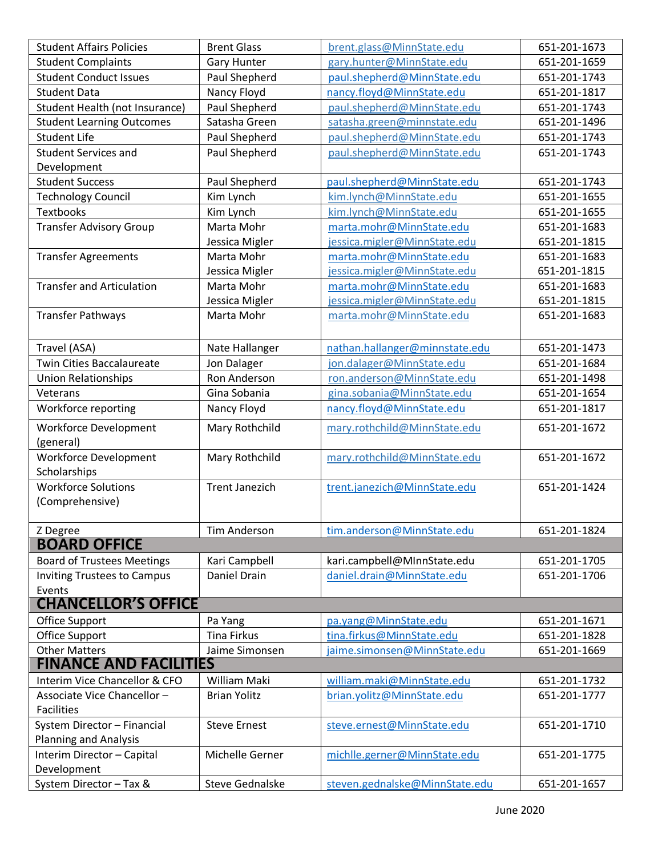| <b>Student Affairs Policies</b>               | <b>Brent Glass</b>    | brent.glass@MinnState.edu      | 651-201-1673 |
|-----------------------------------------------|-----------------------|--------------------------------|--------------|
| <b>Student Complaints</b>                     | <b>Gary Hunter</b>    | gary.hunter@MinnState.edu      | 651-201-1659 |
| <b>Student Conduct Issues</b>                 | Paul Shepherd         | paul.shepherd@MinnState.edu    | 651-201-1743 |
| <b>Student Data</b>                           | Nancy Floyd           | nancy.floyd@MinnState.edu      | 651-201-1817 |
| Student Health (not Insurance)                | Paul Shepherd         | paul.shepherd@MinnState.edu    | 651-201-1743 |
| <b>Student Learning Outcomes</b>              | Satasha Green         | satasha.green@minnstate.edu    | 651-201-1496 |
| <b>Student Life</b>                           | Paul Shepherd         | paul.shepherd@MinnState.edu    | 651-201-1743 |
| <b>Student Services and</b>                   | Paul Shepherd         | paul.shepherd@MinnState.edu    | 651-201-1743 |
| Development                                   |                       |                                |              |
| <b>Student Success</b>                        | Paul Shepherd         | paul.shepherd@MinnState.edu    | 651-201-1743 |
| <b>Technology Council</b>                     | Kim Lynch             | kim.lynch@MinnState.edu        | 651-201-1655 |
| <b>Textbooks</b>                              | Kim Lynch             | kim.lynch@MinnState.edu        | 651-201-1655 |
| <b>Transfer Advisory Group</b>                | Marta Mohr            | marta.mohr@MinnState.edu       | 651-201-1683 |
|                                               | Jessica Migler        | jessica.migler@MinnState.edu   | 651-201-1815 |
| <b>Transfer Agreements</b>                    | Marta Mohr            | marta.mohr@MinnState.edu       | 651-201-1683 |
|                                               | Jessica Migler        | jessica.migler@MinnState.edu   | 651-201-1815 |
| <b>Transfer and Articulation</b>              | Marta Mohr            | marta.mohr@MinnState.edu       | 651-201-1683 |
|                                               | Jessica Migler        | jessica.migler@MinnState.edu   | 651-201-1815 |
| <b>Transfer Pathways</b>                      | Marta Mohr            | marta.mohr@MinnState.edu       | 651-201-1683 |
|                                               |                       |                                |              |
| Travel (ASA)                                  | Nate Hallanger        | nathan.hallanger@minnstate.edu | 651-201-1473 |
| <b>Twin Cities Baccalaureate</b>              | Jon Dalager           | jon.dalager@MinnState.edu      | 651-201-1684 |
| <b>Union Relationships</b>                    | Ron Anderson          | ron.anderson@MinnState.edu     | 651-201-1498 |
| Veterans                                      | Gina Sobania          | gina.sobania@MinnState.edu     | 651-201-1654 |
| Workforce reporting                           | Nancy Floyd           | nancy.floyd@MinnState.edu      | 651-201-1817 |
| Workforce Development<br>(general)            | Mary Rothchild        | mary.rothchild@MinnState.edu   | 651-201-1672 |
| <b>Workforce Development</b>                  | Mary Rothchild        | mary.rothchild@MinnState.edu   | 651-201-1672 |
| Scholarships                                  |                       |                                |              |
| <b>Workforce Solutions</b><br>(Comprehensive) | <b>Trent Janezich</b> | trent.janezich@MinnState.edu   | 651-201-1424 |
| Z Degree                                      | <b>Tim Anderson</b>   | tim.anderson@MinnState.edu     | 651-201-1824 |
| <b>BOARD OFFICE</b>                           |                       |                                |              |
| <b>Board of Trustees Meetings</b>             | Kari Campbell         | kari.campbell@MInnState.edu    | 651-201-1705 |
| <b>Inviting Trustees to Campus</b>            | Daniel Drain          | daniel.drain@MinnState.edu     | 651-201-1706 |
| Events                                        |                       |                                |              |
| <b>CHANCELLOR'S OFFICE</b>                    |                       |                                |              |
| Office Support                                | Pa Yang               | pa.yang@MinnState.edu          | 651-201-1671 |
| Office Support                                | <b>Tina Firkus</b>    | tina.firkus@MinnState.edu      | 651-201-1828 |
| <b>Other Matters</b>                          | Jaime Simonsen        | jaime.simonsen@MinnState.edu   | 651-201-1669 |
| <b>FINANCE AND FACILITIES</b>                 |                       |                                |              |
| Interim Vice Chancellor & CFO                 | <b>William Maki</b>   | william.maki@MinnState.edu     | 651-201-1732 |
| Associate Vice Chancellor-                    | <b>Brian Yolitz</b>   | brian.yolitz@MinnState.edu     | 651-201-1777 |
| <b>Facilities</b>                             |                       |                                |              |
| System Director - Financial                   | <b>Steve Ernest</b>   | steve.ernest@MinnState.edu     | 651-201-1710 |
| <b>Planning and Analysis</b>                  |                       |                                |              |
| Interim Director - Capital                    | Michelle Gerner       | michlle.gerner@MinnState.edu   | 651-201-1775 |
| Development                                   |                       |                                |              |
| System Director - Tax &                       | Steve Gednalske       | steven.gednalske@MinnState.edu | 651-201-1657 |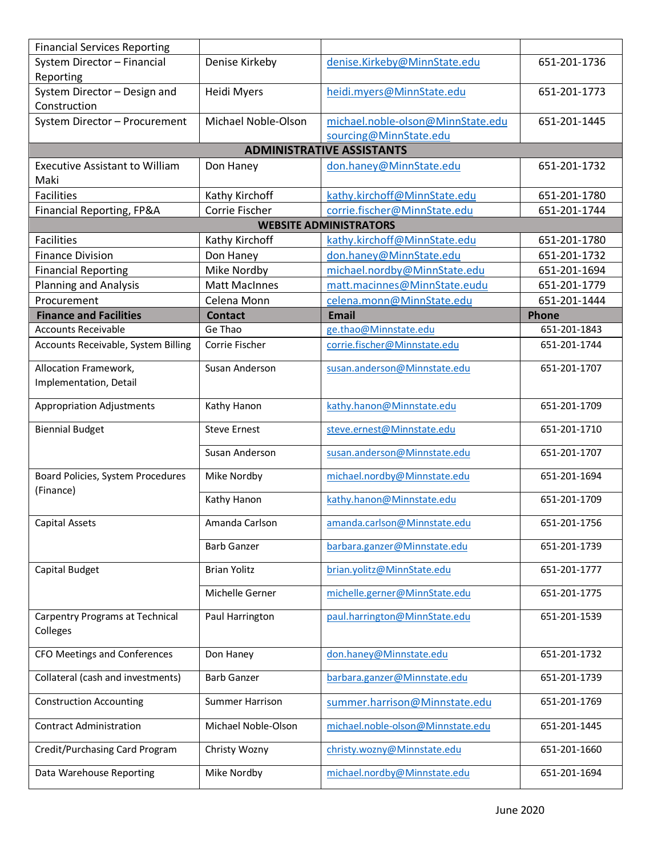| <b>Financial Services Reporting</b>                |                        |                                   |              |
|----------------------------------------------------|------------------------|-----------------------------------|--------------|
| System Director - Financial                        | Denise Kirkeby         | denise.Kirkeby@MinnState.edu      | 651-201-1736 |
| Reporting                                          |                        |                                   |              |
| System Director - Design and                       | Heidi Myers            | heidi.myers@MinnState.edu         | 651-201-1773 |
| Construction                                       |                        |                                   |              |
| System Director - Procurement                      | Michael Noble-Olson    | michael.noble-olson@MinnState.edu | 651-201-1445 |
|                                                    |                        | sourcing@MinnState.edu            |              |
|                                                    |                        | <b>ADMINISTRATIVE ASSISTANTS</b>  |              |
| <b>Executive Assistant to William</b><br>Maki      | Don Haney              | don.haney@MinnState.edu           | 651-201-1732 |
| <b>Facilities</b>                                  | Kathy Kirchoff         | kathy.kirchoff@MinnState.edu      | 651-201-1780 |
| Financial Reporting, FP&A                          | Corrie Fischer         | corrie.fischer@MinnState.edu      | 651-201-1744 |
|                                                    |                        | <b>WEBSITE ADMINISTRATORS</b>     |              |
| <b>Facilities</b>                                  | Kathy Kirchoff         | kathy.kirchoff@MinnState.edu      | 651-201-1780 |
| <b>Finance Division</b>                            | Don Haney              | don.haney@MinnState.edu           | 651-201-1732 |
| <b>Financial Reporting</b>                         | Mike Nordby            | michael.nordby@MinnState.edu      | 651-201-1694 |
| <b>Planning and Analysis</b>                       | <b>Matt MacInnes</b>   | matt.macinnes@MinnState.eudu      | 651-201-1779 |
| Procurement                                        | Celena Monn            | celena.monn@MinnState.edu         | 651-201-1444 |
| <b>Finance and Facilities</b>                      | <b>Contact</b>         | <b>Email</b>                      | Phone        |
| <b>Accounts Receivable</b>                         | Ge Thao                | ge.thao@Minnstate.edu             | 651-201-1843 |
| Accounts Receivable, System Billing                | Corrie Fischer         | corrie.fischer@Minnstate.edu      | 651-201-1744 |
|                                                    |                        |                                   |              |
| Allocation Framework,                              | Susan Anderson         | susan.anderson@Minnstate.edu      | 651-201-1707 |
| Implementation, Detail                             |                        |                                   |              |
| <b>Appropriation Adjustments</b>                   | Kathy Hanon            | kathy.hanon@Minnstate.edu         | 651-201-1709 |
|                                                    |                        |                                   |              |
| <b>Biennial Budget</b>                             | <b>Steve Ernest</b>    | steve.ernest@Minnstate.edu        | 651-201-1710 |
|                                                    | Susan Anderson         | susan.anderson@Minnstate.edu      | 651-201-1707 |
| Board Policies, System Procedures<br>(Finance)     | Mike Nordby            | michael.nordby@Minnstate.edu      | 651-201-1694 |
|                                                    | Kathy Hanon            | kathy.hanon@Minnstate.edu         | 651-201-1709 |
| <b>Capital Assets</b>                              | Amanda Carlson         | amanda.carlson@Minnstate.edu      | 651-201-1756 |
|                                                    | <b>Barb Ganzer</b>     | barbara.ganzer@Minnstate.edu      | 651-201-1739 |
| Capital Budget                                     | <b>Brian Yolitz</b>    | brian.yolitz@MinnState.edu        | 651-201-1777 |
|                                                    | Michelle Gerner        | michelle.gerner@MinnState.edu     | 651-201-1775 |
| <b>Carpentry Programs at Technical</b><br>Colleges | Paul Harrington        | paul.harrington@MinnState.edu     | 651-201-1539 |
| CFO Meetings and Conferences                       | Don Haney              | don.haney@Minnstate.edu           | 651-201-1732 |
| Collateral (cash and investments)                  | <b>Barb Ganzer</b>     | barbara.ganzer@Minnstate.edu      | 651-201-1739 |
| <b>Construction Accounting</b>                     | <b>Summer Harrison</b> | summer.harrison@Minnstate.edu     | 651-201-1769 |
| <b>Contract Administration</b>                     | Michael Noble-Olson    | michael.noble-olson@Minnstate.edu | 651-201-1445 |
| Credit/Purchasing Card Program                     | Christy Wozny          | christy.wozny@Minnstate.edu       | 651-201-1660 |
| Data Warehouse Reporting                           | Mike Nordby            | michael.nordby@Minnstate.edu      | 651-201-1694 |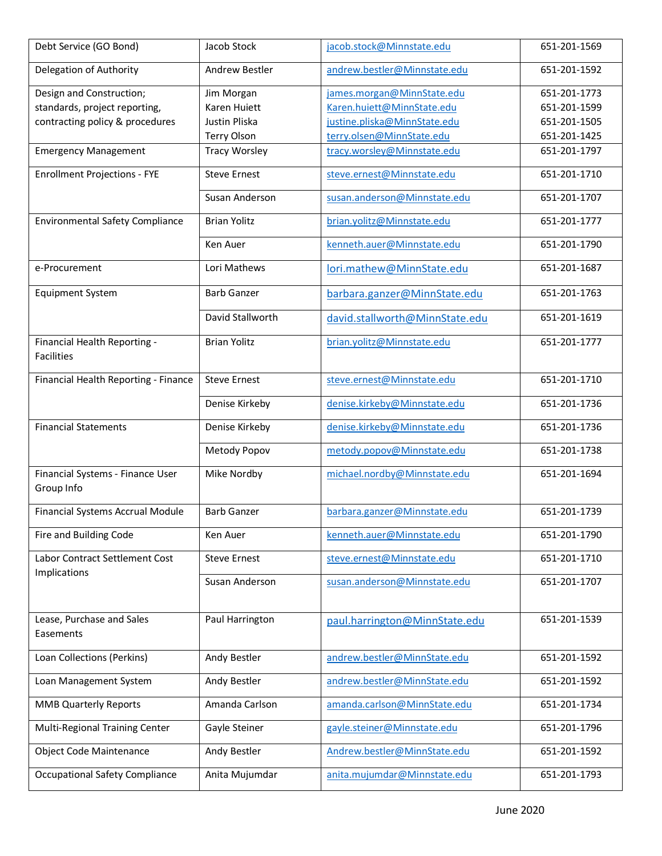| Debt Service (GO Bond)                         | Jacob Stock          | jacob.stock@Minnstate.edu      | 651-201-1569 |
|------------------------------------------------|----------------------|--------------------------------|--------------|
| Delegation of Authority                        | Andrew Bestler       | andrew.bestler@Minnstate.edu   | 651-201-1592 |
| Design and Construction;                       | Jim Morgan           | james.morgan@MinnState.edu     | 651-201-1773 |
| standards, project reporting,                  | Karen Huiett         | Karen.huiett@MinnState.edu     | 651-201-1599 |
| contracting policy & procedures                | Justin Pliska        | justine.pliska@MinnState.edu   | 651-201-1505 |
|                                                | <b>Terry Olson</b>   | terry.olsen@MinnState.edu      | 651-201-1425 |
| <b>Emergency Management</b>                    | <b>Tracy Worsley</b> | tracy.worsley@Minnstate.edu    | 651-201-1797 |
|                                                |                      |                                |              |
| <b>Enrollment Projections - FYE</b>            | <b>Steve Ernest</b>  | steve.ernest@Minnstate.edu     | 651-201-1710 |
|                                                | Susan Anderson       | susan.anderson@Minnstate.edu   | 651-201-1707 |
| <b>Environmental Safety Compliance</b>         | <b>Brian Yolitz</b>  | brian.yolitz@Minnstate.edu     | 651-201-1777 |
|                                                | Ken Auer             | kenneth.auer@Minnstate.edu     | 651-201-1790 |
| e-Procurement                                  | Lori Mathews         | lori.mathew@MinnState.edu      | 651-201-1687 |
| <b>Equipment System</b>                        | <b>Barb Ganzer</b>   | barbara.ganzer@MinnState.edu   | 651-201-1763 |
|                                                | David Stallworth     | david.stallworth@MinnState.edu | 651-201-1619 |
| Financial Health Reporting -                   | <b>Brian Yolitz</b>  | brian.yolitz@Minnstate.edu     | 651-201-1777 |
| <b>Facilities</b>                              |                      |                                |              |
| Financial Health Reporting - Finance           | <b>Steve Ernest</b>  | steve.ernest@Minnstate.edu     | 651-201-1710 |
|                                                | Denise Kirkeby       | denise.kirkeby@Minnstate.edu   | 651-201-1736 |
| <b>Financial Statements</b>                    | Denise Kirkeby       | denise.kirkeby@Minnstate.edu   | 651-201-1736 |
|                                                | Metody Popov         | metody.popov@Minnstate.edu     | 651-201-1738 |
| Financial Systems - Finance User<br>Group Info | Mike Nordby          | michael.nordby@Minnstate.edu   | 651-201-1694 |
| <b>Financial Systems Accrual Module</b>        | <b>Barb Ganzer</b>   | barbara.ganzer@Minnstate.edu   | 651-201-1739 |
| Fire and Building Code                         | Ken Auer             | kenneth.auer@Minnstate.edu     | 651-201-1790 |
| Labor Contract Settlement Cost<br>Implications | <b>Steve Ernest</b>  | steve.ernest@Minnstate.edu     | 651-201-1710 |
|                                                | Susan Anderson       | susan.anderson@Minnstate.edu   | 651-201-1707 |
| Lease, Purchase and Sales<br>Easements         | Paul Harrington      | paul.harrington@MinnState.edu  | 651-201-1539 |
| Loan Collections (Perkins)                     | Andy Bestler         | andrew.bestler@MinnState.edu   | 651-201-1592 |
| Loan Management System                         | Andy Bestler         | andrew.bestler@MinnState.edu   | 651-201-1592 |
| <b>MMB Quarterly Reports</b>                   | Amanda Carlson       | amanda.carlson@MinnState.edu   | 651-201-1734 |
| Multi-Regional Training Center                 | Gayle Steiner        | gayle.steiner@Minnstate.edu    | 651-201-1796 |
| <b>Object Code Maintenance</b>                 | Andy Bestler         | Andrew.bestler@MinnState.edu   | 651-201-1592 |
| Occupational Safety Compliance                 | Anita Mujumdar       | anita.mujumdar@Minnstate.edu   | 651-201-1793 |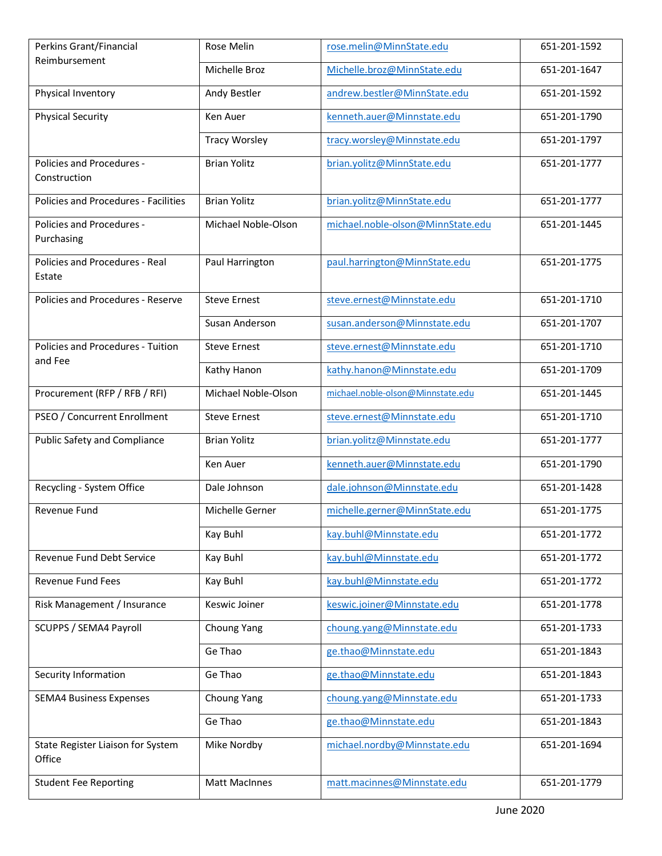| Perkins Grant/Financial                      | Rose Melin           | rose.melin@MinnState.edu          | 651-201-1592 |
|----------------------------------------------|----------------------|-----------------------------------|--------------|
| Reimbursement                                | Michelle Broz        | Michelle.broz@MinnState.edu       | 651-201-1647 |
| Physical Inventory                           | Andy Bestler         | andrew.bestler@MinnState.edu      | 651-201-1592 |
| <b>Physical Security</b>                     | Ken Auer             | kenneth.auer@Minnstate.edu        | 651-201-1790 |
|                                              | <b>Tracy Worsley</b> | tracy.worsley@Minnstate.edu       | 651-201-1797 |
| Policies and Procedures -<br>Construction    | <b>Brian Yolitz</b>  | brian.yolitz@MinnState.edu        | 651-201-1777 |
| Policies and Procedures - Facilities         | <b>Brian Yolitz</b>  | brian.yolitz@MinnState.edu        | 651-201-1777 |
| Policies and Procedures -<br>Purchasing      | Michael Noble-Olson  | michael.noble-olson@MinnState.edu | 651-201-1445 |
| Policies and Procedures - Real<br>Estate     | Paul Harrington      | paul.harrington@MinnState.edu     | 651-201-1775 |
| Policies and Procedures - Reserve            | <b>Steve Ernest</b>  | steve.ernest@Minnstate.edu        | 651-201-1710 |
|                                              | Susan Anderson       | susan.anderson@Minnstate.edu      | 651-201-1707 |
| Policies and Procedures - Tuition<br>and Fee | <b>Steve Ernest</b>  | steve.ernest@Minnstate.edu        | 651-201-1710 |
|                                              | Kathy Hanon          | kathy.hanon@Minnstate.edu         | 651-201-1709 |
| Procurement (RFP / RFB / RFI)                | Michael Noble-Olson  | michael.noble-olson@Minnstate.edu | 651-201-1445 |
| PSEO / Concurrent Enrollment                 | <b>Steve Ernest</b>  | steve.ernest@Minnstate.edu        | 651-201-1710 |
| <b>Public Safety and Compliance</b>          | <b>Brian Yolitz</b>  | brian.yolitz@Minnstate.edu        | 651-201-1777 |
|                                              | Ken Auer             | kenneth.auer@Minnstate.edu        | 651-201-1790 |
| Recycling - System Office                    | Dale Johnson         | dale.johnson@Minnstate.edu        | 651-201-1428 |
| Revenue Fund                                 | Michelle Gerner      | michelle.gerner@MinnState.edu     | 651-201-1775 |
|                                              | Kay Buhl             | kay.buhl@Minnstate.edu            | 651-201-1772 |
| Revenue Fund Debt Service                    | Kay Buhl             | kay.buhl@Minnstate.edu            | 651-201-1772 |
| <b>Revenue Fund Fees</b>                     | Kay Buhl             | kay.buhl@Minnstate.edu            | 651-201-1772 |
| Risk Management / Insurance                  | Keswic Joiner        | keswic.joiner@Minnstate.edu       | 651-201-1778 |
| SCUPPS / SEMA4 Payroll                       | Choung Yang          | choung.yang@Minnstate.edu         | 651-201-1733 |
|                                              | Ge Thao              | ge.thao@Minnstate.edu             | 651-201-1843 |
| Security Information                         | Ge Thao              | ge.thao@Minnstate.edu             | 651-201-1843 |
| <b>SEMA4 Business Expenses</b>               | Choung Yang          | choung.yang@Minnstate.edu         | 651-201-1733 |
|                                              | Ge Thao              | ge.thao@Minnstate.edu             | 651-201-1843 |
| State Register Liaison for System<br>Office  | Mike Nordby          | michael.nordby@Minnstate.edu      | 651-201-1694 |
| <b>Student Fee Reporting</b>                 | <b>Matt MacInnes</b> | matt.macinnes@Minnstate.edu       | 651-201-1779 |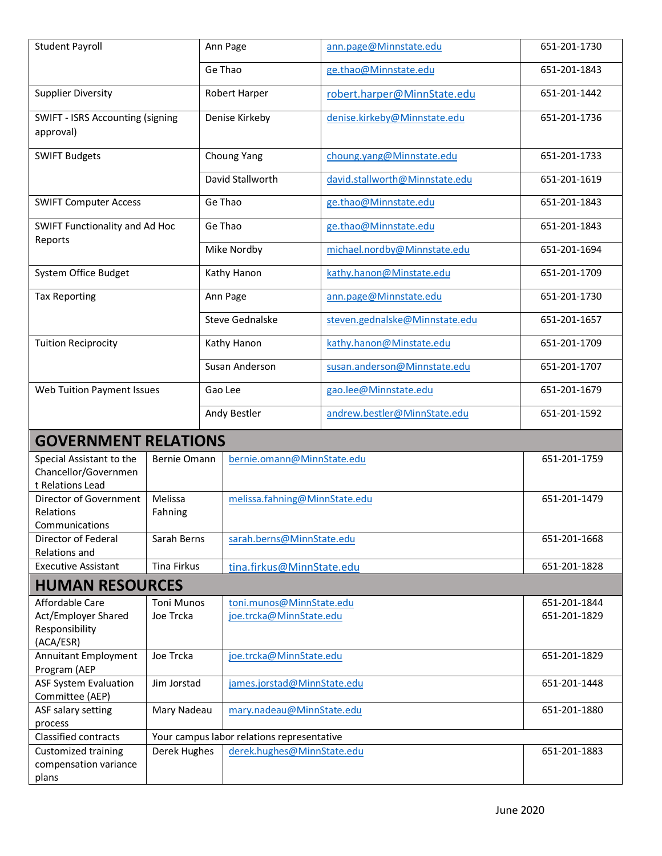| <b>Student Payroll</b>                                                               |                                |         | Ann Page                                                                 | ann.page@Minnstate.edu         | 651-201-1730                 |
|--------------------------------------------------------------------------------------|--------------------------------|---------|--------------------------------------------------------------------------|--------------------------------|------------------------------|
|                                                                                      | Ge Thao                        |         |                                                                          | ge.thao@Minnstate.edu          | 651-201-1843                 |
| <b>Supplier Diversity</b>                                                            |                                |         | Robert Harper                                                            | robert.harper@MinnState.edu    | 651-201-1442                 |
| SWIFT - ISRS Accounting (signing<br>approval)                                        |                                |         | Denise Kirkeby                                                           | denise.kirkeby@Minnstate.edu   | 651-201-1736                 |
| <b>SWIFT Budgets</b>                                                                 |                                |         | Choung Yang                                                              | choung.yang@Minnstate.edu      | 651-201-1733                 |
|                                                                                      |                                |         | David Stallworth                                                         | david.stallworth@Minnstate.edu | 651-201-1619                 |
| <b>SWIFT Computer Access</b>                                                         |                                |         | Ge Thao                                                                  | ge.thao@Minnstate.edu          | 651-201-1843                 |
| SWIFT Functionality and Ad Hoc                                                       |                                |         | Ge Thao                                                                  | ge.thao@Minnstate.edu          | 651-201-1843                 |
| Reports                                                                              |                                |         | Mike Nordby                                                              | michael.nordby@Minnstate.edu   | 651-201-1694                 |
| System Office Budget                                                                 |                                |         | Kathy Hanon                                                              | kathy.hanon@Minstate.edu       | 651-201-1709                 |
| <b>Tax Reporting</b>                                                                 |                                |         | Ann Page                                                                 | ann.page@Minnstate.edu         | 651-201-1730                 |
|                                                                                      |                                |         | Steve Gednalske                                                          | steven.gednalske@Minnstate.edu | 651-201-1657                 |
| <b>Tuition Reciprocity</b>                                                           |                                |         | Kathy Hanon                                                              | kathy.hanon@Minstate.edu       | 651-201-1709                 |
|                                                                                      |                                |         | Susan Anderson                                                           | susan.anderson@Minnstate.edu   | 651-201-1707                 |
| <b>Web Tuition Payment Issues</b>                                                    |                                | Gao Lee |                                                                          | gao.lee@Minnstate.edu          | 651-201-1679                 |
|                                                                                      |                                |         | Andy Bestler                                                             | andrew.bestler@MinnState.edu   | 651-201-1592                 |
| <b>GOVERNMENT RELATIONS</b>                                                          |                                |         |                                                                          |                                |                              |
| Special Assistant to the<br>Chancellor/Governmen<br>t Relations Lead                 | Bernie Omann                   |         | bernie.omann@MinnState.edu                                               |                                | 651-201-1759                 |
| Director of Government<br>Relations<br>Communications                                | Melissa<br>Fahning             |         | melissa.fahning@MinnState.edu                                            |                                | 651-201-1479                 |
| Director of Federal<br>Relations and                                                 | Sarah Berns                    |         | sarah.berns@MinnState.edu                                                |                                | 651-201-1668                 |
| <b>Executive Assistant</b>                                                           | Tina Firkus                    |         | tina.firkus@MinnState.edu                                                |                                | 651-201-1828                 |
| <b>HUMAN RESOURCES</b>                                                               |                                |         |                                                                          |                                |                              |
| Affordable Care<br>Act/Employer Shared<br>Responsibility<br>(ACA/ESR)                | <b>Toni Munos</b><br>Joe Trcka |         | toni.munos@MinnState.edu<br>joe.trcka@MinnState.edu                      |                                | 651-201-1844<br>651-201-1829 |
| <b>Annuitant Employment</b><br>Program (AEP                                          | Joe Trcka                      |         | joe.trcka@MinnState.edu                                                  |                                | 651-201-1829                 |
| <b>ASF System Evaluation</b>                                                         | Jim Jorstad                    |         | james.jorstad@MinnState.edu                                              |                                | 651-201-1448                 |
| Committee (AEP)<br>ASF salary setting                                                | Mary Nadeau                    |         | mary.nadeau@MinnState.edu                                                |                                | 651-201-1880                 |
| process                                                                              |                                |         |                                                                          |                                |                              |
| Classified contracts<br><b>Customized training</b><br>compensation variance<br>plans | Derek Hughes                   |         | Your campus labor relations representative<br>derek.hughes@MinnState.edu |                                | 651-201-1883                 |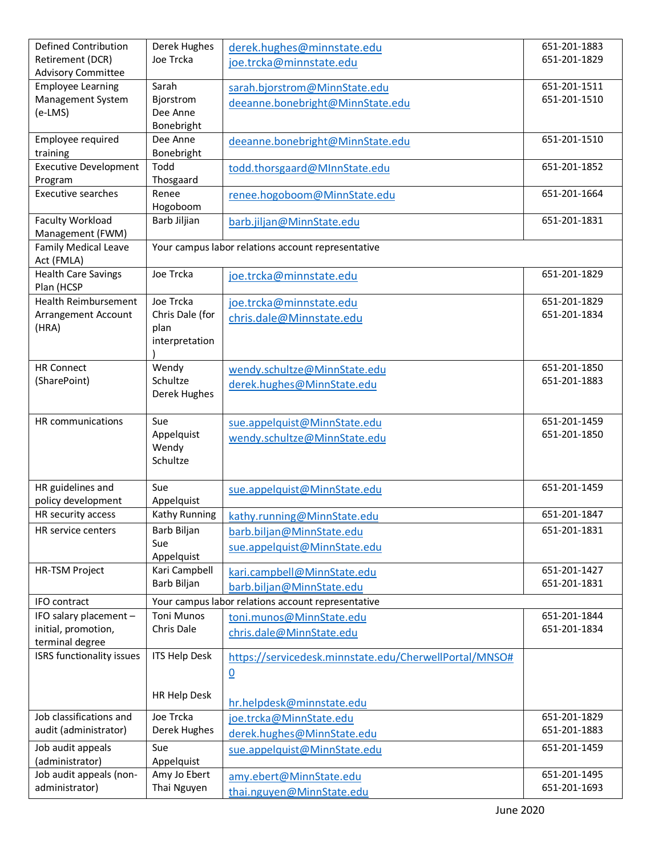| <b>Defined Contribution</b>                           | Derek Hughes           | derek.hughes@minnstate.edu                             | 651-201-1883 |
|-------------------------------------------------------|------------------------|--------------------------------------------------------|--------------|
| Retirement (DCR)                                      | Joe Trcka              | joe.trcka@minnstate.edu                                | 651-201-1829 |
| <b>Advisory Committee</b><br><b>Employee Learning</b> | Sarah                  | sarah.bjorstrom@MinnState.edu                          | 651-201-1511 |
| Management System                                     | Bjorstrom              | deeanne.bonebright@MinnState.edu                       | 651-201-1510 |
| (e-LMS)                                               | Dee Anne               |                                                        |              |
|                                                       | Bonebright             |                                                        |              |
| Employee required                                     | Dee Anne               | deeanne.bonebright@MinnState.edu                       | 651-201-1510 |
| training<br><b>Executive Development</b>              | Bonebright<br>Todd     |                                                        | 651-201-1852 |
| Program                                               | Thosgaard              | todd.thorsgaard@MInnState.edu                          |              |
| <b>Executive searches</b>                             | Renee                  | renee.hogoboom@MinnState.edu                           | 651-201-1664 |
|                                                       | Hogoboom               |                                                        |              |
| <b>Faculty Workload</b>                               | Barb Jiljian           | barb.jiljan@MinnState.edu                              | 651-201-1831 |
| Management (FWM)                                      |                        |                                                        |              |
| <b>Family Medical Leave</b><br>Act (FMLA)             |                        | Your campus labor relations account representative     |              |
| <b>Health Care Savings</b>                            | Joe Trcka              | joe.trcka@minnstate.edu                                | 651-201-1829 |
| Plan (HCSP                                            |                        |                                                        |              |
| <b>Health Reimbursement</b>                           | Joe Trcka              | joe.trcka@minnstate.edu                                | 651-201-1829 |
| Arrangement Account                                   | Chris Dale (for        | chris.dale@Minnstate.edu                               | 651-201-1834 |
| (HRA)                                                 | plan<br>interpretation |                                                        |              |
|                                                       |                        |                                                        |              |
| <b>HR Connect</b>                                     | Wendy                  | wendy.schultze@MinnState.edu                           | 651-201-1850 |
| (SharePoint)                                          | Schultze               | derek.hughes@MinnState.edu                             | 651-201-1883 |
|                                                       | Derek Hughes           |                                                        |              |
| HR communications                                     | Sue                    |                                                        | 651-201-1459 |
|                                                       | Appelquist             | sue.appelquist@MinnState.edu                           | 651-201-1850 |
|                                                       | Wendy                  | wendy.schultze@MinnState.edu                           |              |
|                                                       | Schultze               |                                                        |              |
|                                                       |                        |                                                        |              |
| HR guidelines and<br>policy development               | Sue<br>Appelquist      | sue.appelquist@MinnState.edu                           | 651-201-1459 |
| HR security access                                    | Kathy Running          | kathy.running@MinnState.edu                            | 651-201-1847 |
| HR service centers                                    | Barb Biljan            | barb.biljan@MinnState.edu                              | 651-201-1831 |
|                                                       | Sue                    | sue.appelquist@MinnState.edu                           |              |
|                                                       | Appelquist             |                                                        |              |
| <b>HR-TSM Project</b>                                 | Kari Campbell          | kari.campbell@MinnState.edu                            | 651-201-1427 |
|                                                       | Barb Biljan            | barb.biljan@MinnState.edu                              | 651-201-1831 |
| IFO contract                                          |                        | Your campus labor relations account representative     |              |
| IFO salary placement -                                | <b>Toni Munos</b>      | toni.munos@MinnState.edu                               | 651-201-1844 |
| initial, promotion,<br>terminal degree                | Chris Dale             | chris.dale@MinnState.edu                               | 651-201-1834 |
| ISRS functionality issues                             | <b>ITS Help Desk</b>   | https://servicedesk.minnstate.edu/CherwellPortal/MNSO# |              |
|                                                       |                        | $\underline{0}$                                        |              |
|                                                       |                        |                                                        |              |
|                                                       | HR Help Desk           | hr.helpdesk@minnstate.edu                              |              |
| Job classifications and                               | Joe Trcka              | joe.trcka@MinnState.edu                                | 651-201-1829 |
| audit (administrator)                                 | Derek Hughes           | derek.hughes@MinnState.edu                             | 651-201-1883 |
| Job audit appeals                                     | Sue                    | sue.appelquist@MinnState.edu                           | 651-201-1459 |
| (administrator)                                       | Appelquist             |                                                        |              |
| Job audit appeals (non-                               | Amy Jo Ebert           | amy.ebert@MinnState.edu                                | 651-201-1495 |
| administrator)                                        | Thai Nguyen            | thai.nguyen@MinnState.edu                              | 651-201-1693 |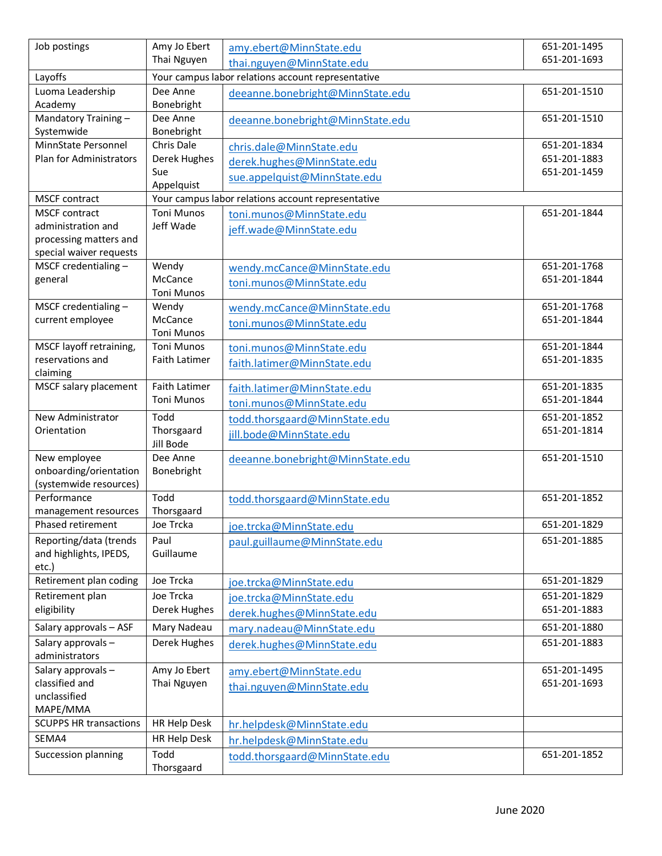| Job postings                                          | Amy Jo Ebert               | amy.ebert@MinnState.edu                            | 651-201-1495                 |
|-------------------------------------------------------|----------------------------|----------------------------------------------------|------------------------------|
|                                                       | Thai Nguyen                | thai.nguyen@MinnState.edu                          | 651-201-1693                 |
| Layoffs                                               |                            | Your campus labor relations account representative |                              |
| Luoma Leadership                                      | Dee Anne                   | deeanne.bonebright@MinnState.edu                   | 651-201-1510                 |
| Academy                                               | Bonebright                 |                                                    |                              |
| Mandatory Training-                                   | Dee Anne                   | deeanne.bonebright@MinnState.edu                   | 651-201-1510                 |
| Systemwide                                            | Bonebright                 |                                                    |                              |
| MinnState Personnel<br><b>Plan for Administrators</b> | Chris Dale<br>Derek Hughes | chris.dale@MinnState.edu                           | 651-201-1834<br>651-201-1883 |
|                                                       | Sue                        | derek.hughes@MinnState.edu                         | 651-201-1459                 |
|                                                       | Appelquist                 | sue.appelquist@MinnState.edu                       |                              |
| <b>MSCF</b> contract                                  |                            | Your campus labor relations account representative |                              |
| <b>MSCF</b> contract                                  | <b>Toni Munos</b>          | toni.munos@MinnState.edu                           | 651-201-1844                 |
| administration and                                    | Jeff Wade                  | jeff.wade@MinnState.edu                            |                              |
| processing matters and                                |                            |                                                    |                              |
| special waiver requests                               |                            |                                                    |                              |
| MSCF credentialing -                                  | Wendy                      | wendy.mcCance@MinnState.edu                        | 651-201-1768                 |
| general                                               | McCance                    | toni.munos@MinnState.edu                           | 651-201-1844                 |
| MSCF credentialing $-$                                | <b>Toni Munos</b><br>Wendy |                                                    | 651-201-1768                 |
| current employee                                      | McCance                    | wendy.mcCance@MinnState.edu                        | 651-201-1844                 |
|                                                       | Toni Munos                 | toni.munos@MinnState.edu                           |                              |
| MSCF layoff retraining,                               | <b>Toni Munos</b>          | toni.munos@MinnState.edu                           | 651-201-1844                 |
| reservations and                                      | Faith Latimer              | faith.latimer@MinnState.edu                        | 651-201-1835                 |
| claiming                                              |                            |                                                    |                              |
| MSCF salary placement                                 | <b>Faith Latimer</b>       | faith.latimer@MinnState.edu                        | 651-201-1835                 |
|                                                       | <b>Toni Munos</b>          | toni.munos@MinnState.edu                           | 651-201-1844                 |
| New Administrator                                     | Todd                       | todd.thorsgaard@MinnState.edu                      | 651-201-1852                 |
| Orientation                                           | Thorsgaard                 | jill.bode@MinnState.edu                            | 651-201-1814                 |
|                                                       | Jill Bode                  |                                                    |                              |
| New employee                                          | Dee Anne                   | deeanne.bonebright@MinnState.edu                   | 651-201-1510                 |
| onboarding/orientation<br>(systemwide resources)      | Bonebright                 |                                                    |                              |
| Performance                                           | Todd                       | todd.thorsgaard@MinnState.edu                      | 651-201-1852                 |
| management resources                                  | Thorsgaard                 |                                                    |                              |
| Phased retirement                                     | Joe Trcka                  | joe.trcka@MinnState.edu                            | 651-201-1829                 |
| Reporting/data (trends                                | Paul                       | paul.guillaume@MinnState.edu                       | 651-201-1885                 |
| and highlights, IPEDS,                                | Guillaume                  |                                                    |                              |
| etc.)                                                 |                            |                                                    |                              |
| Retirement plan coding                                | Joe Trcka                  | joe.trcka@MinnState.edu                            | 651-201-1829                 |
| Retirement plan                                       | Joe Trcka                  | joe.trcka@MinnState.edu                            | 651-201-1829                 |
| eligibility                                           | Derek Hughes               | derek.hughes@MinnState.edu                         | 651-201-1883                 |
| Salary approvals - ASF                                | Mary Nadeau                | mary.nadeau@MinnState.edu                          | 651-201-1880                 |
| Salary approvals-                                     | Derek Hughes               | derek.hughes@MinnState.edu                         | 651-201-1883                 |
| administrators                                        |                            |                                                    |                              |
| Salary approvals-                                     | Amy Jo Ebert               | amy.ebert@MinnState.edu                            | 651-201-1495                 |
| classified and                                        | Thai Nguyen                | thai.nguyen@MinnState.edu                          | 651-201-1693                 |
| unclassified<br>MAPE/MMA                              |                            |                                                    |                              |
| <b>SCUPPS HR transactions</b>                         | HR Help Desk               |                                                    |                              |
| SEMA4                                                 | HR Help Desk               | hr.helpdesk@MinnState.edu                          |                              |
|                                                       | Todd                       | hr.helpdesk@MinnState.edu                          |                              |
| Succession planning                                   | Thorsgaard                 | todd.thorsgaard@MinnState.edu                      | 651-201-1852                 |
|                                                       |                            |                                                    |                              |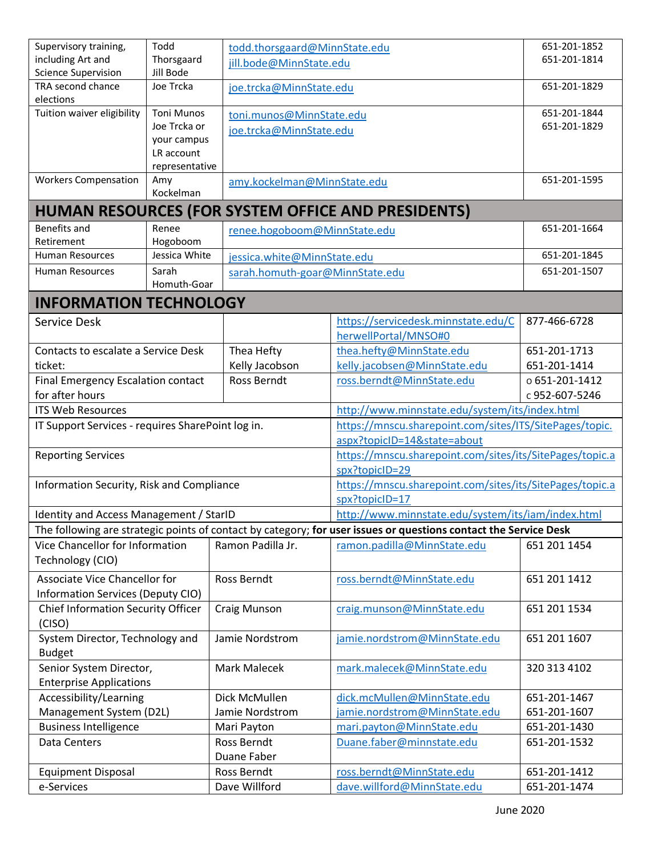| Supervisory training,                             | Todd                   | todd.thorsgaard@MinnState.edu   |                                                                                                                  | 651-201-1852   |
|---------------------------------------------------|------------------------|---------------------------------|------------------------------------------------------------------------------------------------------------------|----------------|
| including Art and                                 | Thorsgaard             | jill.bode@MinnState.edu         |                                                                                                                  | 651-201-1814   |
| <b>Science Supervision</b><br>TRA second chance   | Jill Bode<br>Joe Trcka |                                 |                                                                                                                  | 651-201-1829   |
| elections                                         |                        | joe.trcka@MinnState.edu         |                                                                                                                  |                |
| Tuition waiver eligibility                        | <b>Toni Munos</b>      | toni.munos@MinnState.edu        |                                                                                                                  | 651-201-1844   |
|                                                   | Joe Trcka or           | joe.trcka@MinnState.edu         |                                                                                                                  | 651-201-1829   |
|                                                   | your campus            |                                 |                                                                                                                  |                |
|                                                   | LR account             |                                 |                                                                                                                  |                |
| <b>Workers Compensation</b>                       | representative<br>Amy  |                                 |                                                                                                                  | 651-201-1595   |
|                                                   | Kockelman              | amy.kockelman@MinnState.edu     |                                                                                                                  |                |
|                                                   |                        |                                 | HUMAN RESOURCES (FOR SYSTEM OFFICE AND PRESIDENTS)                                                               |                |
| <b>Benefits and</b>                               | Renee                  | renee.hogoboom@MinnState.edu    |                                                                                                                  | 651-201-1664   |
| Retirement                                        | Hogoboom               |                                 |                                                                                                                  |                |
| <b>Human Resources</b>                            | Jessica White          | jessica.white@MinnState.edu     |                                                                                                                  | 651-201-1845   |
| Human Resources                                   | Sarah                  | sarah.homuth-goar@MinnState.edu |                                                                                                                  | 651-201-1507   |
|                                                   | Homuth-Goar            |                                 |                                                                                                                  |                |
| <b>INFORMATION TECHNOLOGY</b>                     |                        |                                 |                                                                                                                  |                |
| Service Desk                                      |                        |                                 | https://servicedesk.minnstate.edu/C                                                                              | 877-466-6728   |
|                                                   |                        |                                 | herwellPortal/MNSO#0                                                                                             |                |
| Contacts to escalate a Service Desk               |                        | Thea Hefty                      | thea.hefty@MinnState.edu                                                                                         | 651-201-1713   |
| ticket:                                           |                        | Kelly Jacobson                  | kelly.jacobsen@MinnState.edu                                                                                     | 651-201-1414   |
| Final Emergency Escalation contact                |                        | Ross Berndt                     | ross.berndt@MinnState.edu                                                                                        | 0651-201-1412  |
| for after hours<br><b>ITS Web Resources</b>       |                        |                                 |                                                                                                                  | c 952-607-5246 |
|                                                   |                        |                                 | http://www.minnstate.edu/system/its/index.html                                                                   |                |
| IT Support Services - requires SharePoint log in. |                        |                                 | https://mnscu.sharepoint.com/sites/ITS/SitePages/topic.<br>aspx?topicID=14&state=about                           |                |
| <b>Reporting Services</b>                         |                        |                                 | https://mnscu.sharepoint.com/sites/its/SitePages/topic.a                                                         |                |
|                                                   |                        |                                 | spx?topicID=29                                                                                                   |                |
| Information Security, Risk and Compliance         |                        |                                 | https://mnscu.sharepoint.com/sites/its/SitePages/topic.a                                                         |                |
|                                                   |                        |                                 | spx?topicID=17                                                                                                   |                |
| Identity and Access Management / StarID           |                        |                                 | http://www.minnstate.edu/system/its/iam/index.html                                                               |                |
|                                                   |                        |                                 | The following are strategic points of contact by category; for user issues or questions contact the Service Desk |                |
| Vice Chancellor for Information                   |                        | Ramon Padilla Jr.               | ramon.padilla@MinnState.edu                                                                                      | 651 201 1454   |
| Technology (CIO)                                  |                        |                                 |                                                                                                                  |                |
| <b>Associate Vice Chancellor for</b>              |                        | Ross Berndt                     | ross.berndt@MinnState.edu                                                                                        | 651 201 1412   |
| Information Services (Deputy CIO)                 |                        |                                 |                                                                                                                  |                |
| <b>Chief Information Security Officer</b>         |                        | Craig Munson                    | craig.munson@MinnState.edu                                                                                       | 651 201 1534   |
| (CISO)                                            |                        |                                 |                                                                                                                  |                |
| System Director, Technology and                   |                        | Jamie Nordstrom                 | jamie.nordstrom@MinnState.edu                                                                                    | 651 201 1607   |
| <b>Budget</b>                                     |                        |                                 |                                                                                                                  |                |
| Senior System Director,                           |                        | <b>Mark Malecek</b>             | mark.malecek@MinnState.edu                                                                                       | 320 313 4102   |
| <b>Enterprise Applications</b>                    |                        |                                 |                                                                                                                  |                |
| Accessibility/Learning                            |                        | Dick McMullen                   | dick.mcMullen@MinnState.edu                                                                                      | 651-201-1467   |
| Management System (D2L)                           |                        | Jamie Nordstrom                 | jamie.nordstrom@MinnState.edu                                                                                    | 651-201-1607   |
| <b>Business Intelligence</b>                      |                        | Mari Payton                     | mari.payton@MinnState.edu                                                                                        | 651-201-1430   |
| Data Centers                                      |                        | Ross Berndt<br>Duane Faber      | Duane.faber@minnstate.edu                                                                                        | 651-201-1532   |
| <b>Equipment Disposal</b>                         |                        | Ross Berndt                     | ross.berndt@MinnState.edu                                                                                        | 651-201-1412   |
| e-Services                                        |                        | Dave Willford                   | dave.willford@MinnState.edu                                                                                      | 651-201-1474   |
|                                                   |                        |                                 |                                                                                                                  |                |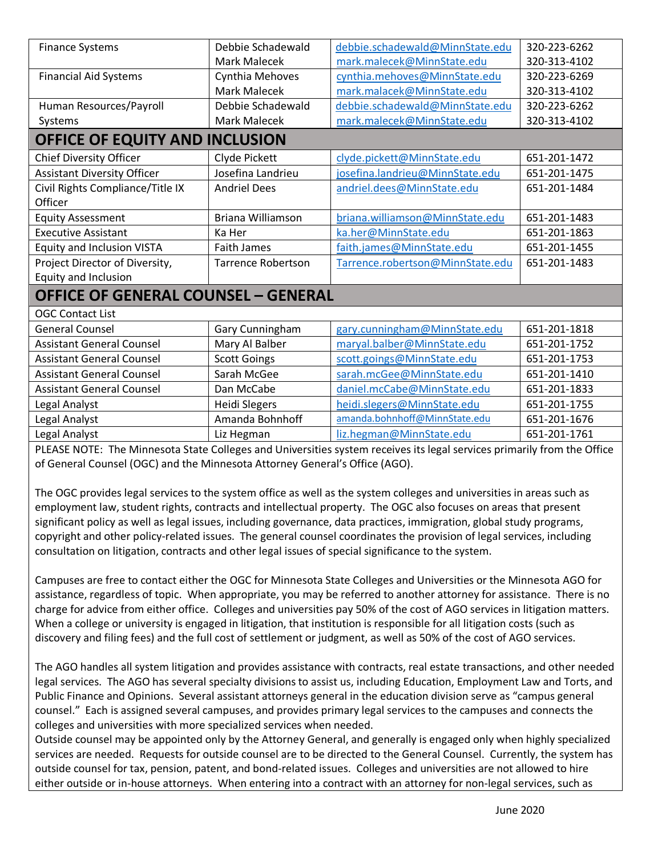| <b>Finance Systems</b>                     | Debbie Schadewald         | debbie.schadewald@MinnState.edu  | 320-223-6262 |
|--------------------------------------------|---------------------------|----------------------------------|--------------|
|                                            | <b>Mark Malecek</b>       | mark.malecek@MinnState.edu       | 320-313-4102 |
| <b>Financial Aid Systems</b>               | Cynthia Mehoves           | cynthia.mehoves@MinnState.edu    | 320-223-6269 |
|                                            | <b>Mark Malecek</b>       | mark.malacek@MinnState.edu       | 320-313-4102 |
| Human Resources/Payroll                    | Debbie Schadewald         | debbie.schadewald@MinnState.edu  | 320-223-6262 |
| Systems                                    | Mark Malecek              | mark.malecek@MinnState.edu       | 320-313-4102 |
| OFFICE OF EQUITY AND INCLUSION             |                           |                                  |              |
| <b>Chief Diversity Officer</b>             | Clyde Pickett             | clyde.pickett@MinnState.edu      | 651-201-1472 |
| <b>Assistant Diversity Officer</b>         | Josefina Landrieu         | josefina.landrieu@MinnState.edu  | 651-201-1475 |
| Civil Rights Compliance/Title IX           | <b>Andriel Dees</b>       | andriel.dees@MinnState.edu       | 651-201-1484 |
| Officer                                    |                           |                                  |              |
| <b>Equity Assessment</b>                   | Briana Williamson         | briana.williamson@MinnState.edu  | 651-201-1483 |
| <b>Executive Assistant</b>                 | Ka Her                    | ka.her@MinnState.edu             | 651-201-1863 |
| <b>Equity and Inclusion VISTA</b>          | <b>Faith James</b>        | faith.james@MinnState.edu        | 651-201-1455 |
| Project Director of Diversity,             | <b>Tarrence Robertson</b> | Tarrence.robertson@MinnState.edu | 651-201-1483 |
| Equity and Inclusion                       |                           |                                  |              |
| <b>OFFICE OF GENERAL COUNSEL - GENERAL</b> |                           |                                  |              |
| <b>OGC Contact List</b>                    |                           |                                  |              |
| <b>General Counsel</b>                     | Gary Cunningham           | gary.cunningham@MinnState.edu    | 651-201-1818 |
| <b>Assistant General Counsel</b>           | Mary Al Balber            | maryal.balber@MinnState.edu      | 651-201-1752 |
| <b>Assistant General Counsel</b>           | <b>Scott Goings</b>       | scott.goings@MinnState.edu       | 651-201-1753 |
| <b>Assistant General Counsel</b>           | Sarah McGee               | sarah.mcGee@MinnState.edu        | 651-201-1410 |
| <b>Assistant General Counsel</b>           | Dan McCabe                | daniel.mcCabe@MinnState.edu      | 651-201-1833 |
| Legal Analyst                              | <b>Heidi Slegers</b>      | heidi.slegers@MinnState.edu      | 651-201-1755 |
| Legal Analyst                              | Amanda Bohnhoff           | amanda.bohnhoff@MinnState.edu    | 651-201-1676 |
| Legal Analyst                              | Liz Hegman                | liz.hegman@MinnState.edu         | 651-201-1761 |

PLEASE NOTE: The Minnesota State Colleges and Universities system receives its legal services primarily from the Office of General Counsel (OGC) and the Minnesota Attorney General's Office (AGO).

The OGC provides legal services to the system office as well as the system colleges and universities in areas such as employment law, student rights, contracts and intellectual property. The OGC also focuses on areas that present significant policy as well as legal issues, including governance, data practices, immigration, global study programs, copyright and other policy-related issues. The general counsel coordinates the provision of legal services, including consultation on litigation, contracts and other legal issues of special significance to the system.

Campuses are free to contact either the OGC for Minnesota State Colleges and Universities or the Minnesota AGO for assistance, regardless of topic. When appropriate, you may be referred to another attorney for assistance. There is no charge for advice from either office. Colleges and universities pay 50% of the cost of AGO services in litigation matters. When a college or university is engaged in litigation, that institution is responsible for all litigation costs (such as discovery and filing fees) and the full cost of settlement or judgment, as well as 50% of the cost of AGO services.

The AGO handles all system litigation and provides assistance with contracts, real estate transactions, and other needed legal services. The AGO has several specialty divisions to assist us, including Education, Employment Law and Torts, and Public Finance and Opinions. Several assistant attorneys general in the education division serve as "campus general counsel." Each is assigned several campuses, and provides primary legal services to the campuses and connects the colleges and universities with more specialized services when needed.

Outside counsel may be appointed only by the Attorney General, and generally is engaged only when highly specialized services are needed. Requests for outside counsel are to be directed to the General Counsel. Currently, the system has outside counsel for tax, pension, patent, and bond-related issues. Colleges and universities are not allowed to hire either outside or in-house attorneys. When entering into a contract with an attorney for non-legal services, such as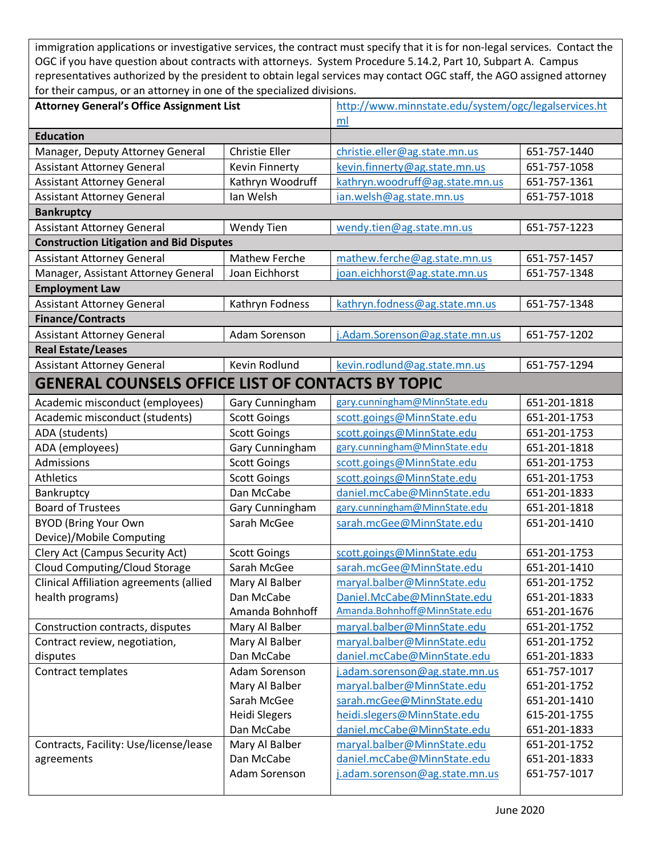immigration applications or investigative services, the contract must specify that it is for non-legal services. Contact the OGC if you have question about contracts with attorneys. System Procedure 5.14.2, Part 10, Subpart A. Campus representatives authorized by the president to obtain legal services may contact OGC staff, the AGO assigned attorney for their campus, or an attorney in one of the specialized divisions.

| <b>Attorney General's Office Assignment List</b>         |                       | http://www.minnstate.edu/system/ogc/legalservices.ht |              |
|----------------------------------------------------------|-----------------------|------------------------------------------------------|--------------|
|                                                          |                       | ml                                                   |              |
| <b>Education</b>                                         |                       |                                                      |              |
| Manager, Deputy Attorney General                         | <b>Christie Eller</b> | christie.eller@ag.state.mn.us                        | 651-757-1440 |
| <b>Assistant Attorney General</b>                        | Kevin Finnerty        | kevin.finnerty@ag.state.mn.us                        | 651-757-1058 |
| <b>Assistant Attorney General</b>                        | Kathryn Woodruff      | kathryn.woodruff@ag.state.mn.us                      | 651-757-1361 |
| <b>Assistant Attorney General</b>                        | Ian Welsh             | ian.welsh@ag.state.mn.us                             | 651-757-1018 |
| <b>Bankruptcy</b>                                        |                       |                                                      |              |
| <b>Assistant Attorney General</b>                        | Wendy Tien            | wendy.tien@ag.state.mn.us                            | 651-757-1223 |
| <b>Construction Litigation and Bid Disputes</b>          |                       |                                                      |              |
| <b>Assistant Attorney General</b>                        | Mathew Ferche         | mathew.ferche@ag.state.mn.us                         | 651-757-1457 |
| Manager, Assistant Attorney General                      | Joan Eichhorst        | joan.eichhorst@ag.state.mn.us                        | 651-757-1348 |
| <b>Employment Law</b>                                    |                       |                                                      |              |
| <b>Assistant Attorney General</b>                        | Kathryn Fodness       | kathryn.fodness@ag.state.mn.us                       | 651-757-1348 |
| <b>Finance/Contracts</b>                                 |                       |                                                      |              |
| <b>Assistant Attorney General</b>                        | Adam Sorenson         | j.Adam.Sorenson@ag.state.mn.us                       | 651-757-1202 |
| <b>Real Estate/Leases</b>                                |                       |                                                      |              |
| <b>Assistant Attorney General</b>                        | Kevin Rodlund         | kevin.rodlund@ag.state.mn.us                         | 651-757-1294 |
| <b>GENERAL COUNSELS OFFICE LIST OF CONTACTS BY TOPIC</b> |                       |                                                      |              |
| Academic misconduct (employees)                          | Gary Cunningham       | gary.cunningham@MinnState.edu                        | 651-201-1818 |
| Academic misconduct (students)                           | <b>Scott Goings</b>   | scott.goings@MinnState.edu                           | 651-201-1753 |
| ADA (students)                                           | <b>Scott Goings</b>   | scott.goings@MinnState.edu                           | 651-201-1753 |
| ADA (employees)                                          | Gary Cunningham       | gary.cunningham@MinnState.edu                        | 651-201-1818 |
| Admissions                                               | <b>Scott Goings</b>   | scott.goings@MinnState.edu                           | 651-201-1753 |
| Athletics                                                | <b>Scott Goings</b>   | scott.goings@MinnState.edu                           | 651-201-1753 |
| Bankruptcy                                               | Dan McCabe            | daniel.mcCabe@MinnState.edu                          | 651-201-1833 |
| <b>Board of Trustees</b>                                 | Gary Cunningham       | gary.cunningham@MinnState.edu                        | 651-201-1818 |
| <b>BYOD</b> (Bring Your Own                              | Sarah McGee           | sarah.mcGee@MinnState.edu                            | 651-201-1410 |
| Device)/Mobile Computing                                 |                       |                                                      |              |
| Clery Act (Campus Security Act)                          | <b>Scott Goings</b>   | scott.goings@MinnState.edu                           | 651-201-1753 |
| <b>Cloud Computing/Cloud Storage</b>                     | Sarah McGee           | sarah.mcGee@MinnState.edu                            | 651-201-1410 |
| Clinical Affiliation agreements (allied                  | Mary Al Balber        | maryal.balber@MinnState.edu                          | 651-201-1752 |
| health programs)                                         | Dan McCabe            | Daniel.McCabe@MinnState.edu                          | 651-201-1833 |
|                                                          | Amanda Bohnhoff       | Amanda.Bohnhoff@MinnState.edu                        | 651-201-1676 |
| Construction contracts, disputes                         | Mary Al Balber        | maryal.balber@MinnState.edu                          | 651-201-1752 |
| Contract review, negotiation,                            | Mary Al Balber        | maryal.balber@MinnState.edu                          | 651-201-1752 |
| disputes                                                 | Dan McCabe            | daniel.mcCabe@MinnState.edu                          | 651-201-1833 |
| Contract templates                                       | Adam Sorenson         | j.adam.sorenson@ag.state.mn.us                       | 651-757-1017 |
|                                                          | Mary Al Balber        | maryal.balber@MinnState.edu                          | 651-201-1752 |
|                                                          | Sarah McGee           | sarah.mcGee@MinnState.edu                            | 651-201-1410 |
|                                                          | <b>Heidi Slegers</b>  | heidi.slegers@MinnState.edu                          | 615-201-1755 |
|                                                          | Dan McCabe            | daniel.mcCabe@MinnState.edu                          | 651-201-1833 |
| Contracts, Facility: Use/license/lease                   | Mary Al Balber        | maryal.balber@MinnState.edu                          | 651-201-1752 |
| agreements                                               | Dan McCabe            | daniel.mcCabe@MinnState.edu                          | 651-201-1833 |
|                                                          | Adam Sorenson         | j.adam.sorenson@ag.state.mn.us                       | 651-757-1017 |
|                                                          |                       |                                                      |              |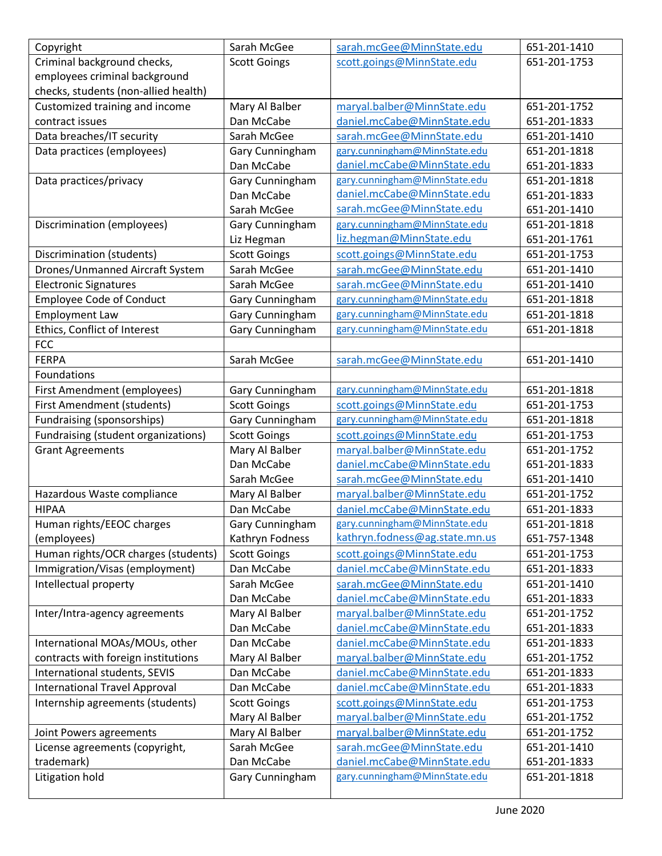| Copyright                            | Sarah McGee         | sarah.mcGee@MinnState.edu      | 651-201-1410 |
|--------------------------------------|---------------------|--------------------------------|--------------|
| Criminal background checks,          | <b>Scott Goings</b> | scott.goings@MinnState.edu     | 651-201-1753 |
| employees criminal background        |                     |                                |              |
| checks, students (non-allied health) |                     |                                |              |
| Customized training and income       | Mary Al Balber      | maryal.balber@MinnState.edu    | 651-201-1752 |
| contract issues                      | Dan McCabe          | daniel.mcCabe@MinnState.edu    | 651-201-1833 |
| Data breaches/IT security            | Sarah McGee         | sarah.mcGee@MinnState.edu      | 651-201-1410 |
| Data practices (employees)           | Gary Cunningham     | gary.cunningham@MinnState.edu  | 651-201-1818 |
|                                      | Dan McCabe          | daniel.mcCabe@MinnState.edu    | 651-201-1833 |
| Data practices/privacy               | Gary Cunningham     | gary.cunningham@MinnState.edu  | 651-201-1818 |
|                                      | Dan McCabe          | daniel.mcCabe@MinnState.edu    | 651-201-1833 |
|                                      | Sarah McGee         | sarah.mcGee@MinnState.edu      | 651-201-1410 |
| Discrimination (employees)           | Gary Cunningham     | gary.cunningham@MinnState.edu  | 651-201-1818 |
|                                      | Liz Hegman          | liz.hegman@MinnState.edu       | 651-201-1761 |
| Discrimination (students)            | <b>Scott Goings</b> | scott.goings@MinnState.edu     | 651-201-1753 |
| Drones/Unmanned Aircraft System      | Sarah McGee         | sarah.mcGee@MinnState.edu      | 651-201-1410 |
| <b>Electronic Signatures</b>         | Sarah McGee         | sarah.mcGee@MinnState.edu      | 651-201-1410 |
| <b>Employee Code of Conduct</b>      | Gary Cunningham     | gary.cunningham@MinnState.edu  | 651-201-1818 |
| <b>Employment Law</b>                | Gary Cunningham     | gary.cunningham@MinnState.edu  | 651-201-1818 |
| Ethics, Conflict of Interest         | Gary Cunningham     | gary.cunningham@MinnState.edu  | 651-201-1818 |
| <b>FCC</b>                           |                     |                                |              |
| <b>FERPA</b>                         | Sarah McGee         | sarah.mcGee@MinnState.edu      | 651-201-1410 |
| Foundations                          |                     |                                |              |
| First Amendment (employees)          | Gary Cunningham     | gary.cunningham@MinnState.edu  | 651-201-1818 |
| First Amendment (students)           | <b>Scott Goings</b> | scott.goings@MinnState.edu     | 651-201-1753 |
| Fundraising (sponsorships)           | Gary Cunningham     | gary.cunningham@MinnState.edu  | 651-201-1818 |
| Fundraising (student organizations)  | <b>Scott Goings</b> | scott.goings@MinnState.edu     | 651-201-1753 |
| <b>Grant Agreements</b>              | Mary Al Balber      | maryal.balber@MinnState.edu    | 651-201-1752 |
|                                      | Dan McCabe          | daniel.mcCabe@MinnState.edu    | 651-201-1833 |
|                                      | Sarah McGee         | sarah.mcGee@MinnState.edu      | 651-201-1410 |
| Hazardous Waste compliance           | Mary Al Balber      | maryal.balber@MinnState.edu    | 651-201-1752 |
| <b>HIPAA</b>                         | Dan McCabe          | daniel.mcCabe@MinnState.edu    | 651-201-1833 |
| Human rights/EEOC charges            | Gary Cunningham     | gary.cunningham@MinnState.edu  | 651-201-1818 |
| (employees)                          | Kathryn Fodness     | kathryn.fodness@ag.state.mn.us | 651-757-1348 |
| Human rights/OCR charges (students)  | <b>Scott Goings</b> | scott.goings@MinnState.edu     | 651-201-1753 |
| Immigration/Visas (employment)       | Dan McCabe          | daniel.mcCabe@MinnState.edu    | 651-201-1833 |
| Intellectual property                | Sarah McGee         | sarah.mcGee@MinnState.edu      | 651-201-1410 |
|                                      | Dan McCabe          | daniel.mcCabe@MinnState.edu    | 651-201-1833 |
| Inter/Intra-agency agreements        | Mary Al Balber      | maryal.balber@MinnState.edu    | 651-201-1752 |
|                                      | Dan McCabe          | daniel.mcCabe@MinnState.edu    | 651-201-1833 |
| International MOAs/MOUs, other       | Dan McCabe          | daniel.mcCabe@MinnState.edu    | 651-201-1833 |
| contracts with foreign institutions  | Mary Al Balber      | maryal.balber@MinnState.edu    | 651-201-1752 |
| International students, SEVIS        | Dan McCabe          | daniel.mcCabe@MinnState.edu    | 651-201-1833 |
| <b>International Travel Approval</b> | Dan McCabe          | daniel.mcCabe@MinnState.edu    | 651-201-1833 |
| Internship agreements (students)     | <b>Scott Goings</b> | scott.goings@MinnState.edu     | 651-201-1753 |
|                                      | Mary Al Balber      | maryal.balber@MinnState.edu    | 651-201-1752 |
| Joint Powers agreements              | Mary Al Balber      | maryal.balber@MinnState.edu    | 651-201-1752 |
| License agreements (copyright,       | Sarah McGee         | sarah.mcGee@MinnState.edu      | 651-201-1410 |
| trademark)                           | Dan McCabe          | daniel.mcCabe@MinnState.edu    | 651-201-1833 |
| Litigation hold                      | Gary Cunningham     | gary.cunningham@MinnState.edu  | 651-201-1818 |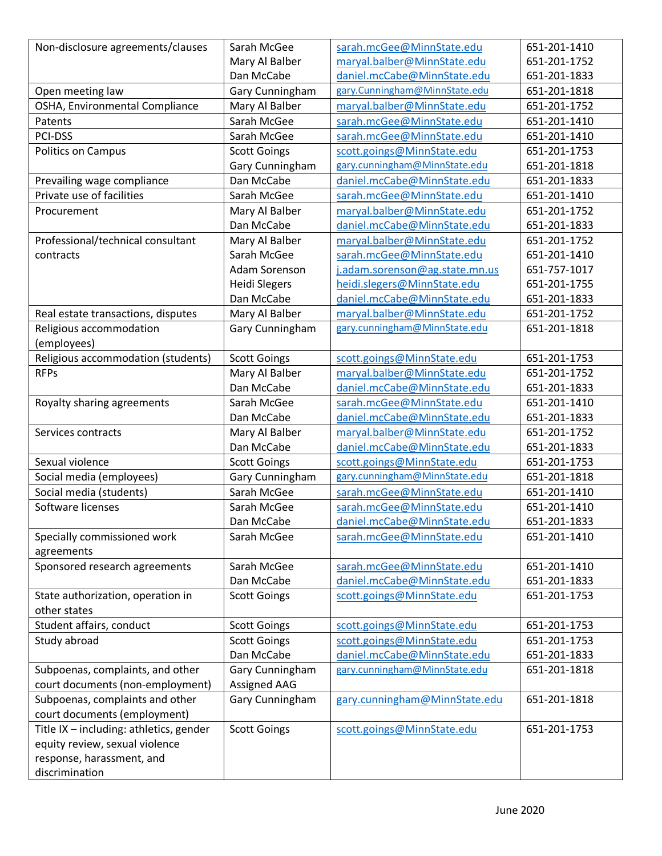| Non-disclosure agreements/clauses                   | Sarah McGee                            | sarah.mcGee@MinnState.edu                                  | 651-201-1410                 |
|-----------------------------------------------------|----------------------------------------|------------------------------------------------------------|------------------------------|
|                                                     | Mary Al Balber                         | maryal.balber@MinnState.edu                                | 651-201-1752                 |
|                                                     | Dan McCabe                             | daniel.mcCabe@MinnState.edu                                | 651-201-1833                 |
| Open meeting law                                    | Gary Cunningham                        | gary.Cunningham@MinnState.edu                              | 651-201-1818                 |
| OSHA, Environmental Compliance                      | Mary Al Balber                         | maryal.balber@MinnState.edu                                | 651-201-1752                 |
| Patents                                             | Sarah McGee                            | sarah.mcGee@MinnState.edu                                  | 651-201-1410                 |
| PCI-DSS                                             | Sarah McGee                            | sarah.mcGee@MinnState.edu                                  | 651-201-1410                 |
| Politics on Campus                                  | <b>Scott Goings</b>                    | scott.goings@MinnState.edu                                 | 651-201-1753                 |
|                                                     | Gary Cunningham                        | gary.cunningham@MinnState.edu                              | 651-201-1818                 |
| Prevailing wage compliance                          | Dan McCabe                             | daniel.mcCabe@MinnState.edu                                | 651-201-1833                 |
| Private use of facilities                           | Sarah McGee                            | sarah.mcGee@MinnState.edu                                  | 651-201-1410                 |
| Procurement                                         | Mary Al Balber                         | maryal.balber@MinnState.edu                                | 651-201-1752                 |
|                                                     | Dan McCabe                             | daniel.mcCabe@MinnState.edu                                | 651-201-1833                 |
| Professional/technical consultant                   | Mary Al Balber                         | maryal.balber@MinnState.edu                                | 651-201-1752                 |
| contracts                                           | Sarah McGee                            | sarah.mcGee@MinnState.edu                                  | 651-201-1410                 |
|                                                     | Adam Sorenson                          | j.adam.sorenson@ag.state.mn.us                             | 651-757-1017                 |
|                                                     | <b>Heidi Slegers</b>                   | heidi.slegers@MinnState.edu                                | 651-201-1755                 |
|                                                     | Dan McCabe                             | daniel.mcCabe@MinnState.edu                                | 651-201-1833                 |
| Real estate transactions, disputes                  | Mary Al Balber                         | maryal.balber@MinnState.edu                                | 651-201-1752                 |
| Religious accommodation                             | Gary Cunningham                        | gary.cunningham@MinnState.edu                              | 651-201-1818                 |
| (employees)                                         |                                        |                                                            |                              |
| Religious accommodation (students)                  | <b>Scott Goings</b>                    | scott.goings@MinnState.edu                                 | 651-201-1753                 |
| <b>RFPs</b>                                         | Mary Al Balber                         | maryal.balber@MinnState.edu                                | 651-201-1752                 |
|                                                     | Dan McCabe                             | daniel.mcCabe@MinnState.edu                                | 651-201-1833                 |
| Royalty sharing agreements                          | Sarah McGee                            | sarah.mcGee@MinnState.edu                                  | 651-201-1410                 |
|                                                     | Dan McCabe<br>Mary Al Balber           | daniel.mcCabe@MinnState.edu                                | 651-201-1833<br>651-201-1752 |
| Services contracts                                  | Dan McCabe                             | maryal.balber@MinnState.edu<br>daniel.mcCabe@MinnState.edu | 651-201-1833                 |
| Sexual violence                                     |                                        | scott.goings@MinnState.edu                                 | 651-201-1753                 |
|                                                     | <b>Scott Goings</b><br>Gary Cunningham | gary.cunningham@MinnState.edu                              | 651-201-1818                 |
| Social media (employees)<br>Social media (students) | Sarah McGee                            | sarah.mcGee@MinnState.edu                                  | 651-201-1410                 |
| Software licenses                                   | Sarah McGee                            | sarah.mcGee@MinnState.edu                                  | 651-201-1410                 |
|                                                     | Dan McCabe                             | daniel.mcCabe@MinnState.edu                                | 651-201-1833                 |
| Specially commissioned work                         | Sarah McGee                            | sarah.mcGee@MinnState.edu                                  | 651-201-1410                 |
| agreements                                          |                                        |                                                            |                              |
| Sponsored research agreements                       | Sarah McGee                            | sarah.mcGee@MinnState.edu                                  | 651-201-1410                 |
|                                                     | Dan McCabe                             | daniel.mcCabe@MinnState.edu                                | 651-201-1833                 |
| State authorization, operation in                   | <b>Scott Goings</b>                    | scott.goings@MinnState.edu                                 | 651-201-1753                 |
| other states                                        |                                        |                                                            |                              |
| Student affairs, conduct                            | <b>Scott Goings</b>                    | scott.goings@MinnState.edu                                 | 651-201-1753                 |
| Study abroad                                        | <b>Scott Goings</b>                    | scott.goings@MinnState.edu                                 | 651-201-1753                 |
|                                                     | Dan McCabe                             | daniel.mcCabe@MinnState.edu                                | 651-201-1833                 |
| Subpoenas, complaints, and other                    | Gary Cunningham                        | gary.cunningham@MinnState.edu                              | 651-201-1818                 |
| court documents (non-employment)                    | Assigned AAG                           |                                                            |                              |
| Subpoenas, complaints and other                     | Gary Cunningham                        | gary.cunningham@MinnState.edu                              | 651-201-1818                 |
| court documents (employment)                        |                                        |                                                            |                              |
| Title IX - including: athletics, gender             | <b>Scott Goings</b>                    | scott.goings@MinnState.edu                                 | 651-201-1753                 |
| equity review, sexual violence                      |                                        |                                                            |                              |
| response, harassment, and                           |                                        |                                                            |                              |
| discrimination                                      |                                        |                                                            |                              |